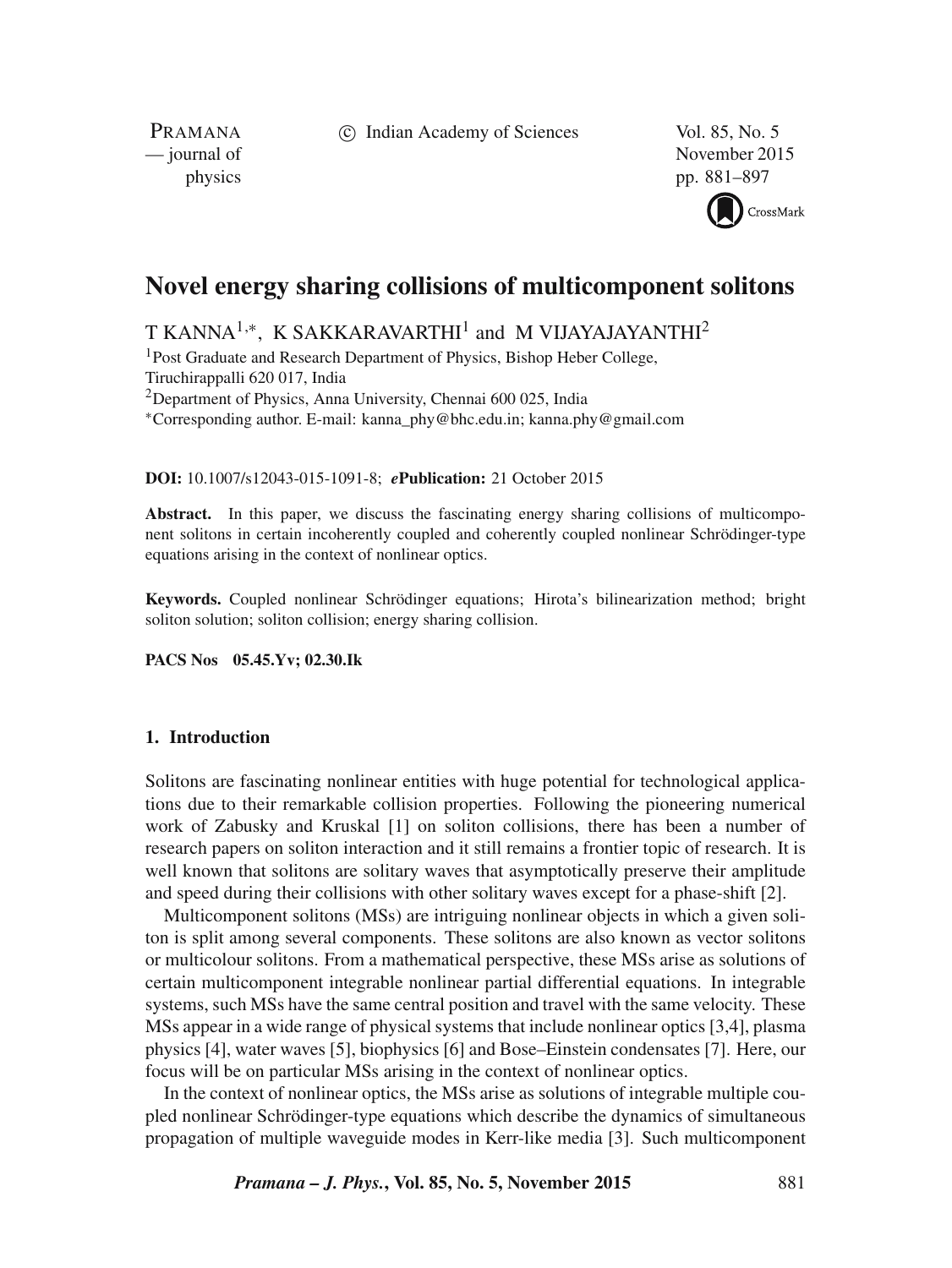c Indian Academy of Sciences Vol. 85, No. 5

PRAMANA<br>
— journal of

November 2015 physics pp. 881–897



# **Novel energy sharing collisions of multicomponent solitons**

T KANNA $^{1,\ast}$ , K SAKKARAVARTHI $^{1}$  and M VIJAYAJAYANTHI $^{2}$ 

<sup>1</sup>Post Graduate and Research Department of Physics, Bishop Heber College, Tiruchirappalli 620 017, India <sup>2</sup>Department of Physics, Anna University, Chennai  $600\,025$ , India ∗Corresponding author. E-mail: kanna\_phy@bhc.edu.in; kanna.phy@gmail.com

**DOI:** 10.1007/s12043-015-1091-8; *e***Publication:** 21 October 2015

Abstract. In this paper, we discuss the fascinating energy sharing collisions of multicomponent solitons in certain incoherently coupled and coherently coupled nonlinear Schrödinger-type equations arising in the context of nonlinear optics.

**Keywords.** Coupled nonlinear Schrödinger equations; Hirota's bilinearization method; bright soliton solution; soliton collision; energy sharing collision.

**PACS Nos 05.45.Yv; 02.30.Ik**

# **1. Introduction**

Solitons are fascinating nonlinear entities with huge potential for technological applications due to their remarkable collision properties. Following the pioneering numerical work of Zabusky and Kruskal [1] on soliton collisions, there has been a number of research papers on soliton interaction and it still remains a frontier topic of research. It is well known that solitons are solitary waves that asymptotically preserve their amplitude and speed during their collisions with other solitary waves except for a phase-shift [2].

Multicomponent solitons (MSs) are intriguing nonlinear objects in which a given soliton is split among several components. These solitons are also known as vector solitons or multicolour solitons. From a mathematical perspective, these MSs arise as solutions of certain multicomponent integrable nonlinear partial differential equations. In integrable systems, such MSs have the same central position and travel with the same velocity. These MSs appear in a wide range of physical systems that include nonlinear optics [3,4], plasma physics [4], water waves [5], biophysics [6] and Bose–Einstein condensates [7]. Here, our focus will be on particular MSs arising in the context of nonlinear optics.

In the context of nonlinear optics, the MSs arise as solutions of integrable multiple coupled nonlinear Schrödinger-type equations which describe the dynamics of simultaneous propagation of multiple waveguide modes in Kerr-like media [3]. Such multicomponent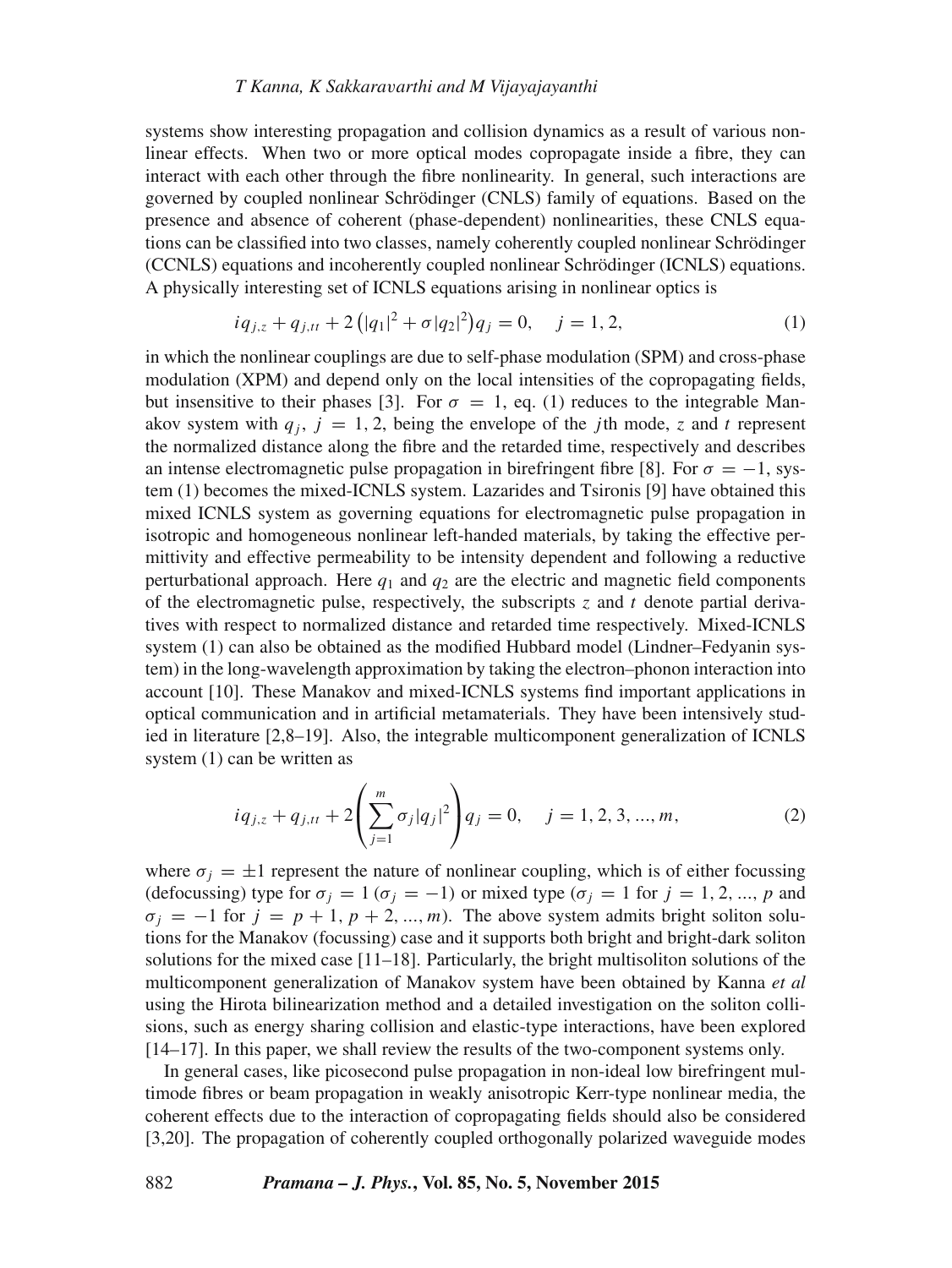## *T Kanna, K Sakkara*v*arthi and M Vijayajayanthi*

systems show interesting propagation and collision dynamics as a result of various nonlinear effects. When two or more optical modes copropagate inside a fibre, they can interact with each other through the fibre nonlinearity. In general, such interactions are governed by coupled nonlinear Schrödinger (CNLS) family of equations. Based on the presence and absence of coherent (phase-dependent) nonlinearities, these CNLS equations can be classified into two classes, namely coherently coupled nonlinear Schrödinger (CCNLS) equations and incoherently coupled nonlinear Schrödinger (ICNLS) equations. A physically interesting set of ICNLS equations arising in nonlinear optics is

$$
iq_{j,z} + q_{j,tt} + 2(|q_1|^2 + \sigma |q_2|^2)q_j = 0, \quad j = 1, 2,
$$
 (1)

in which the nonlinear couplings are due to self-phase modulation (SPM) and cross-phase modulation (XPM) and depend only on the local intensities of the copropagating fields, but insensitive to their phases [3]. For  $\sigma = 1$ , eq. (1) reduces to the integrable Manakov system with  $q_i$ ,  $j = 1, 2$ , being the envelope of the jth mode, z and t represent the normalized distance along the fibre and the retarded time, respectively and describes an intense electromagnetic pulse propagation in birefringent fibre [8]. For  $\sigma = -1$ , system (1) becomes the mixed-ICNLS system. Lazarides and Tsironis [9] have obtained this mixed ICNLS system as governing equations for electromagnetic pulse propagation in isotropic and homogeneous nonlinear left-handed materials, by taking the effective permittivity and effective permeability to be intensity dependent and following a reductive perturbational approach. Here  $q_1$  and  $q_2$  are the electric and magnetic field components of the electromagnetic pulse, respectively, the subscripts  $z$  and  $t$  denote partial derivatives with respect to normalized distance and retarded time respectively. Mixed-ICNLS system (1) can also be obtained as the modified Hubbard model (Lindner–Fedyanin system) in the long-wavelength approximation by taking the electron–phonon interaction into account [10]. These Manakov and mixed-ICNLS systems find important applications in optical communication and in artificial metamaterials. They have been intensively studied in literature [2,8–19]. Also, the integrable multicomponent generalization of ICNLS system (1) can be written as

$$
iq_{j,z} + q_{j,tt} + 2\left(\sum_{j=1}^{m} \sigma_j |q_j|^2\right) q_j = 0, \quad j = 1, 2, 3, ..., m,
$$
 (2)

where  $\sigma_i = \pm 1$  represent the nature of nonlinear coupling, which is of either focussing (defocussing) type for  $\sigma_j = 1$  ( $\sigma_j = -1$ ) or mixed type ( $\sigma_j = 1$  for  $j = 1, 2, ..., p$  and  $\sigma_i = -1$  for  $j = p + 1, p + 2, ..., m$ ). The above system admits bright soliton solutions for the Manakov (focussing) case and it supports both bright and bright-dark soliton solutions for the mixed case [11–18]. Particularly, the bright multisoliton solutions of the multicomponent generalization of Manakov system have been obtained by Kanna *et al* using the Hirota bilinearization method and a detailed investigation on the soliton collisions, such as energy sharing collision and elastic-type interactions, have been explored [14–17]. In this paper, we shall review the results of the two-component systems only.

In general cases, like picosecond pulse propagation in non-ideal low birefringent multimode fibres or beam propagation in weakly anisotropic Kerr-type nonlinear media, the coherent effects due to the interaction of copropagating fields should also be considered [3,20]. The propagation of coherently coupled orthogonally polarized waveguide modes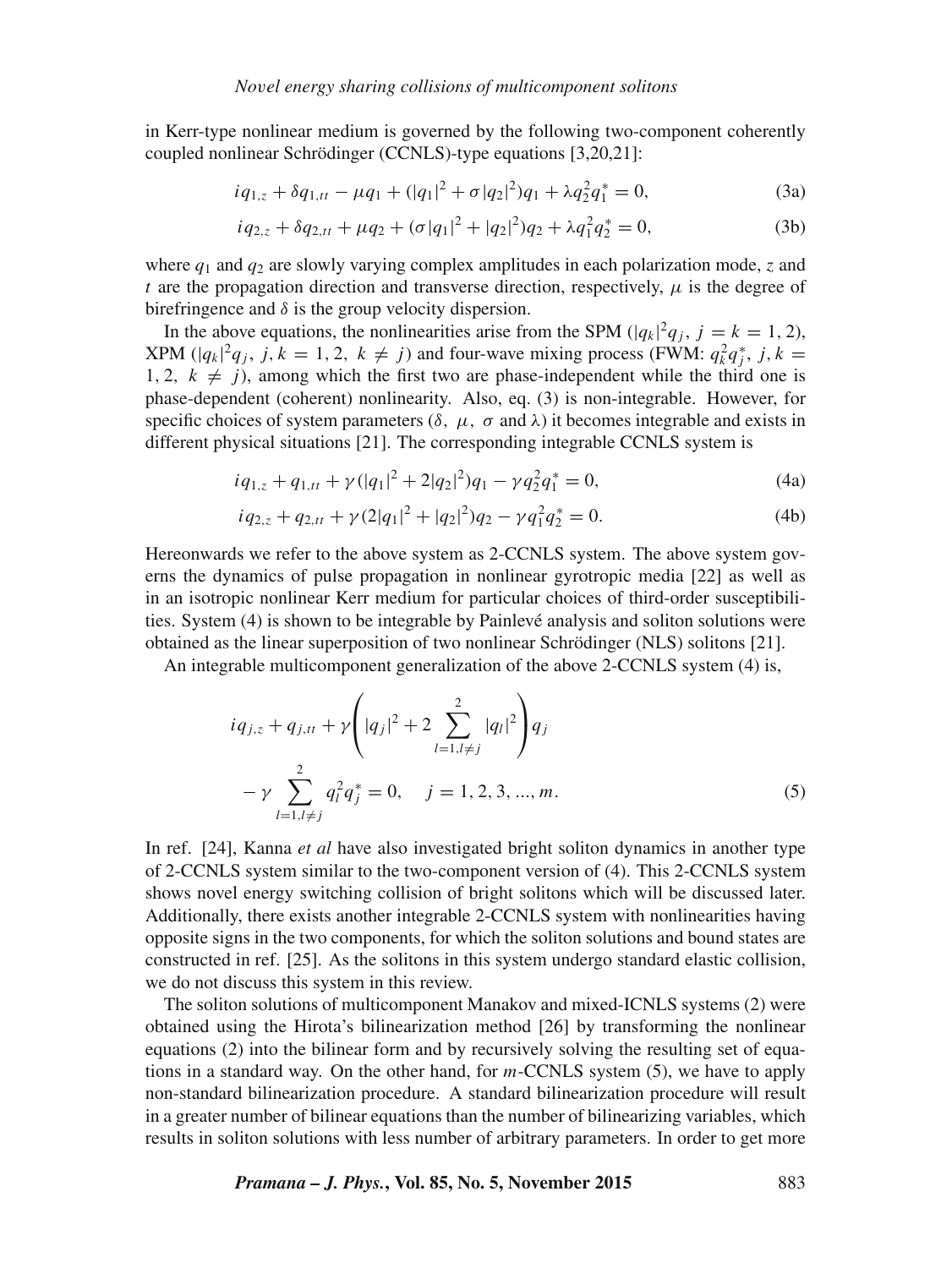in Kerr-type nonlinear medium is governed by the following two-component coherently coupled nonlinear Schrödinger (CCNLS)-type equations [3,20,21]:

$$
iq_{1,z} + \delta q_{1,tt} - \mu q_1 + (|q_1|^2 + \sigma |q_2|^2)q_1 + \lambda q_2^2 q_1^* = 0,
$$
\n(3a)

$$
iq_{2,z} + \delta q_{2,tt} + \mu q_2 + (\sigma |q_1|^2 + |q_2|^2)q_2 + \lambda q_1^2 q_2^* = 0,
$$
 (3b)

where  $q_1$  and  $q_2$  are slowly varying complex amplitudes in each polarization mode, z and t are the propagation direction and transverse direction, respectively,  $\mu$  is the degree of birefringence and  $\delta$  is the group velocity dispersion.

In the above equations, the nonlinearities arise from the SPM ( $|q_k|^2q_j$ ,  $j = k = 1, 2$ ), XPM  $(|q_k|^2 q_j$ ,  $j, k = 1, 2, k \neq j$ ) and four-wave mixing process (FWM:  $q_k^2 q_j^*$ ,  $j, k =$ 1, 2,  $k \neq j$ , among which the first two are phase-independent while the third one is phase-dependent (coherent) nonlinearity. Also, eq. (3) is non-integrable. However, for specific choices of system parameters  $(\delta, \mu, \sigma \text{ and } \lambda)$  it becomes integrable and exists in different physical situations [21]. The corresponding integrable CCNLS system is

$$
iq_{1,z} + q_{1,tt} + \gamma(|q_1|^2 + 2|q_2|^2)q_1 - \gamma q_2^2 q_1^* = 0,
$$
\n(4a)

$$
iq_{2,z} + q_{2,tt} + \gamma (2|q_1|^2 + |q_2|^2)q_2 - \gamma q_1^2 q_2^* = 0.
$$
 (4b)

Hereonwards we refer to the above system as 2-CCNLS system. The above system governs the dynamics of pulse propagation in nonlinear gyrotropic media [22] as well as in an isotropic nonlinear Kerr medium for particular choices of third-order susceptibilities. System (4) is shown to be integrable by Painlevé analysis and soliton solutions were obtained as the linear superposition of two nonlinear Schrödinger (NLS) solitons [21].

An integrable multicomponent generalization of the above 2-CCNLS system (4) is,

$$
iq_{j,z} + q_{j,tt} + \gamma \left( |q_j|^2 + 2 \sum_{l=1, l \neq j}^2 |q_l|^2 \right) q_j
$$
  
-  $\gamma \sum_{l=1, l \neq j}^2 q_l^2 q_j^* = 0, \quad j = 1, 2, 3, ..., m.$  (5)

In ref. [24], Kanna *et al* have also investigated bright soliton dynamics in another type of 2-CCNLS system similar to the two-component version of (4). This 2-CCNLS system shows novel energy switching collision of bright solitons which will be discussed later. Additionally, there exists another integrable 2-CCNLS system with nonlinearities having opposite signs in the two components, for which the soliton solutions and bound states are constructed in ref. [25]. As the solitons in this system undergo standard elastic collision, we do not discuss this system in this review.

The soliton solutions of multicomponent Manakov and mixed-ICNLS systems (2) were obtained using the Hirota's bilinearization method [26] by transforming the nonlinear equations (2) into the bilinear form and by recursively solving the resulting set of equations in a standard way. On the other hand, for  $m$ -CCNLS system (5), we have to apply non-standard bilinearization procedure. A standard bilinearization procedure will result in a greater number of bilinear equations than the number of bilinearizing variables, which results in soliton solutions with less number of arbitrary parameters. In order to get more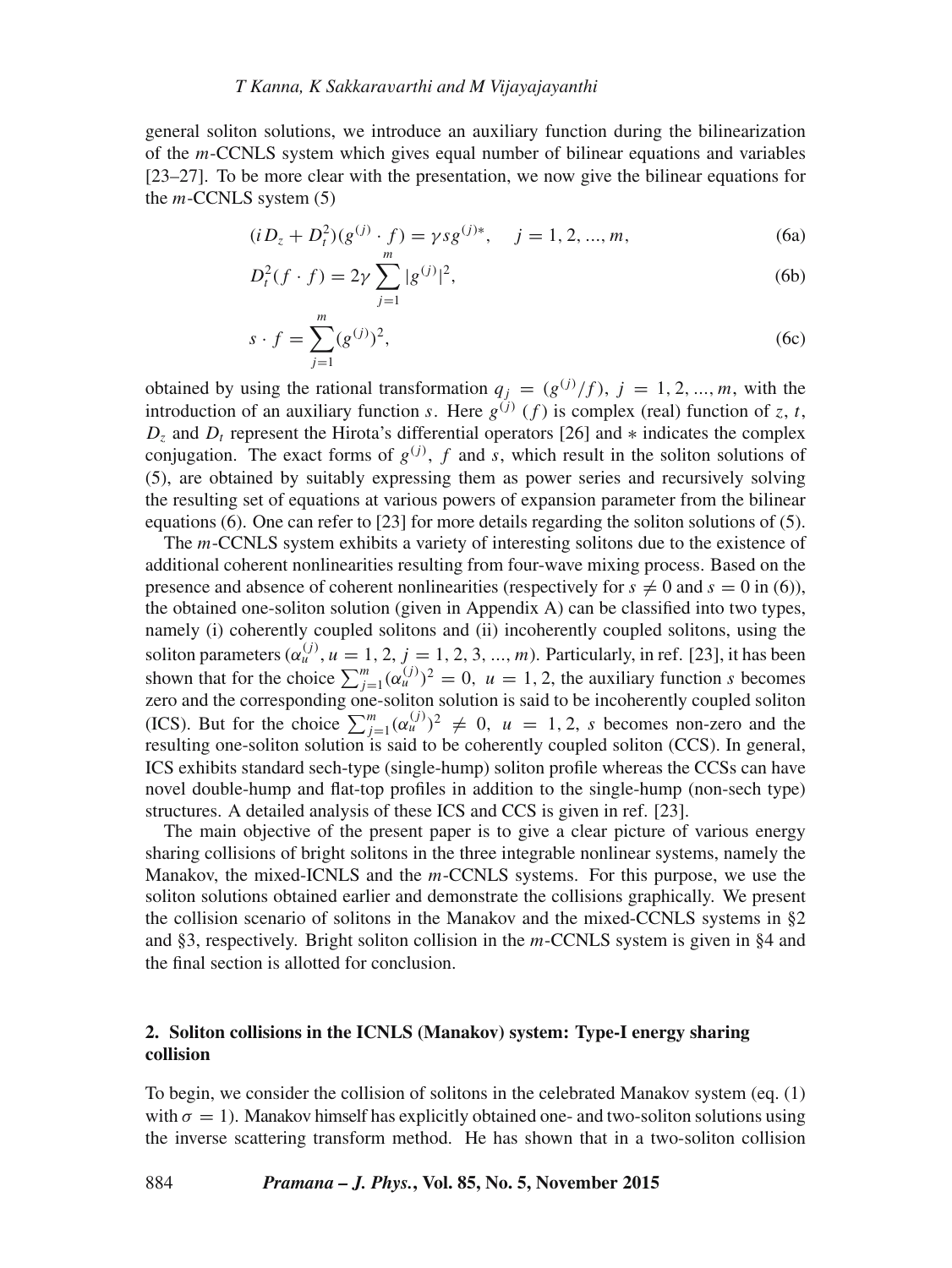## *T Kanna, K Sakkara*v*arthi and M Vijayajayanthi*

general soliton solutions, we introduce an auxiliary function during the bilinearization of the  $m$ -CCNLS system which gives equal number of bilinear equations and variables [23–27]. To be more clear with the presentation, we now give the bilinear equations for the  $m$ -CCNLS system  $(5)$ 

$$
(i D_z + D_t^2)(g^{(j)} \cdot f) = \gamma s g^{(j)*}, \quad j = 1, 2, ..., m,
$$
 (6a)

$$
D_t^2(f \cdot f) = 2\gamma \sum_{j=1}^m |g^{(j)}|^2,\tag{6b}
$$

$$
s \cdot f = \sum_{j=1}^{m} (g^{(j)})^2,
$$
 (6c)

obtained by using the rational transformation  $q_j = (g^{(j)}/f)$ ,  $j = 1, 2, ..., m$ , with the introduction of an auxiliary function s. Here  $g^{(j)}(f)$  is complex (real) function of z, t,  $D_z$  and  $D_t$  represent the Hirota's differential operators [26] and  $*$  indicates the complex conjugation. The exact forms of  $g^{(j)}$ , f and s, which result in the soliton solutions of (5), are obtained by suitably expressing them as power series and recursively solving the resulting set of equations at various powers of expansion parameter from the bilinear equations (6). One can refer to [23] for more details regarding the soliton solutions of (5).

The m-CCNLS system exhibits a variety of interesting solitons due to the existence of additional coherent nonlinearities resulting from four-wave mixing process. Based on the presence and absence of coherent nonlinearities (respectively for  $s \neq 0$  and  $s = 0$  in (6)), the obtained one-soliton solution (given in Appendix A) can be classified into two types, namely (i) coherently coupled solitons and (ii) incoherently coupled solitons, using the soliton parameters  $(\alpha_u^{(j)}, u = 1, 2, j = 1, 2, 3, ..., m)$ . Particularly, in ref. [23], it has been shown that for the choice  $\sum_{j=1}^{m} (\alpha_{u}^{(j)})^2 = 0$ ,  $u = 1, 2$ , the auxiliary function s becomes zero and the corresponding one-soliton solution is said to be incoherently coupled soliton (ICS). But for the choice  $\sum_{j=1}^{m} (\alpha_u^{(j)})^2 \neq 0$ ,  $u = 1, 2, s$  becomes non-zero and the resulting one-soliton solution is said to be coherently coupled soliton (CCS). In general, ICS exhibits standard sech-type (single-hump) soliton profile whereas the CCSs can have novel double-hump and flat-top profiles in addition to the single-hump (non-sech type) structures. A detailed analysis of these ICS and CCS is given in ref. [23].

The main objective of the present paper is to give a clear picture of various energy sharing collisions of bright solitons in the three integrable nonlinear systems, namely the Manakov, the mixed-ICNLS and the  $m$ -CCNLS systems. For this purpose, we use the soliton solutions obtained earlier and demonstrate the collisions graphically. We present the collision scenario of solitons in the Manakov and the mixed-CCNLS systems in §2 and §3, respectively. Bright soliton collision in the m-CCNLS system is given in §4 and the final section is allotted for conclusion.

# **2. Soliton collisions in the ICNLS (Manakov) system: Type-I energy sharing collision**

To begin, we consider the collision of solitons in the celebrated Manakov system (eq. (1) with  $\sigma = 1$ ). Manakov himself has explicitly obtained one- and two-soliton solutions using the inverse scattering transform method. He has shown that in a two-soliton collision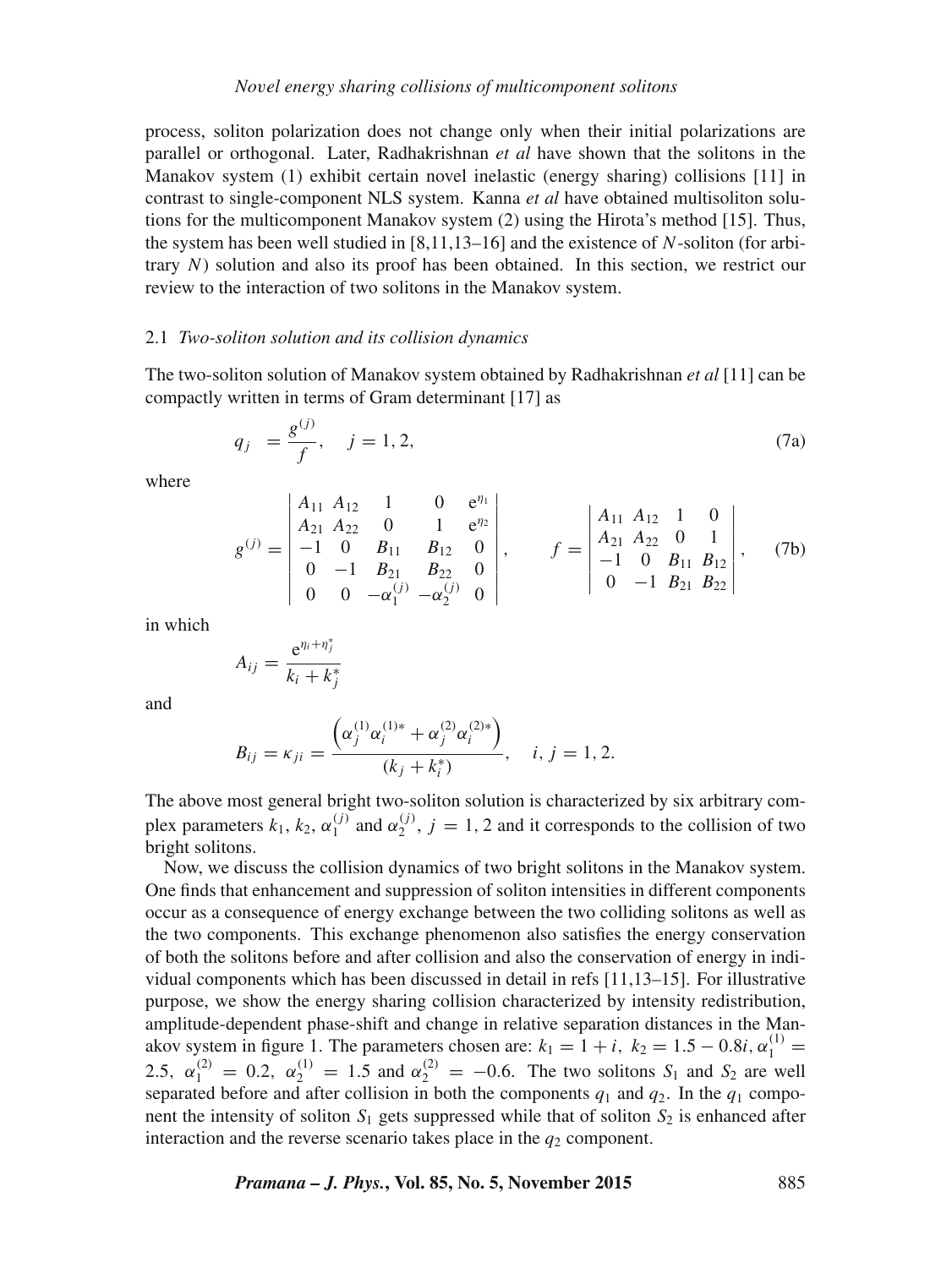process, soliton polarization does not change only when their initial polarizations are parallel or orthogonal. Later, Radhakrishnan *et al* have shown that the solitons in the Manakov system (1) exhibit certain novel inelastic (energy sharing) collisions [11] in contrast to single-component NLS system. Kanna *et al* have obtained multisoliton solutions for the multicomponent Manakov system (2) using the Hirota's method [15]. Thus, the system has been well studied in  $[8,11,13–16]$  and the existence of N-soliton (for arbitrary N) solution and also its proof has been obtained. In this section, we restrict our review to the interaction of two solitons in the Manakov system.

## 2.1 *Two-soliton solution and its collision dynamics*

The two-soliton solution of Manakov system obtained by Radhakrishnan *et al* [11] can be compactly written in terms of Gram determinant [17] as

$$
q_j = \frac{g^{(j)}}{f}, \quad j = 1, 2,
$$
\n(7a)

where

$$
g^{(j)} = \begin{vmatrix} A_{11} & A_{12} & 1 & 0 & e^{\eta_1} \\ A_{21} & A_{22} & 0 & 1 & e^{\eta_2} \\ -1 & 0 & B_{11} & B_{12} & 0 \\ 0 & -1 & B_{21} & B_{22} & 0 \\ 0 & 0 & -\alpha_1^{(j)} & -\alpha_2^{(j)} & 0 \end{vmatrix}, \qquad f = \begin{vmatrix} A_{11} & A_{12} & 1 & 0 \\ A_{21} & A_{22} & 0 & 1 \\ -1 & 0 & B_{11} & B_{12} \\ 0 & -1 & B_{21} & B_{22} \end{vmatrix}, \qquad (7b)
$$

in which

$$
A_{ij} = \frac{e^{\eta_i + \eta_j^*}}{k_i + k_j^*}
$$

and

$$
B_{ij} = \kappa_{ji} = \frac{\left(\alpha_j^{(1)}\alpha_i^{(1)*} + \alpha_j^{(2)}\alpha_i^{(2)*}\right)}{(k_j + k_i^*)}, \quad i, j = 1, 2.
$$

The above most general bright two-soliton solution is characterized by six arbitrary complex parameters  $k_1$ ,  $k_2$ ,  $\alpha_1^{(j)}$  $\begin{pmatrix} (j) \\ 1 \end{pmatrix}$  and  $\alpha_2^{(j)}$  $2^{(1)}$ ,  $j = 1, 2$  and it corresponds to the collision of two bright solitons.

Now, we discuss the collision dynamics of two bright solitons in the Manakov system. One finds that enhancement and suppression of soliton intensities in different components occur as a consequence of energy exchange between the two colliding solitons as well as the two components. This exchange phenomenon also satisfies the energy conservation of both the solitons before and after collision and also the conservation of energy in individual components which has been discussed in detail in refs [11,13–15]. For illustrative purpose, we show the energy sharing collision characterized by intensity redistribution, amplitude-dependent phase-shift and change in relative separation distances in the Manakov system in figure 1. The parameters chosen are:  $k_1 = 1 + i$ ,  $k_2 = 1.5 - 0.8i$ ,  $\alpha_1^{(1)} =$ 2.5,  $\alpha_1^{(2)} = 0.2$ ,  $\alpha_2^{(1)} = 1.5$  and  $\alpha_2^{(2)} = -0.6$ . The two solitons  $S_1$  and  $S_2$  are well separated before and after collision in both the components  $q_1$  and  $q_2$ . In the  $q_1$  component the intensity of soliton  $S_1$  gets suppressed while that of soliton  $S_2$  is enhanced after interaction and the reverse scenario takes place in the  $q_2$  component.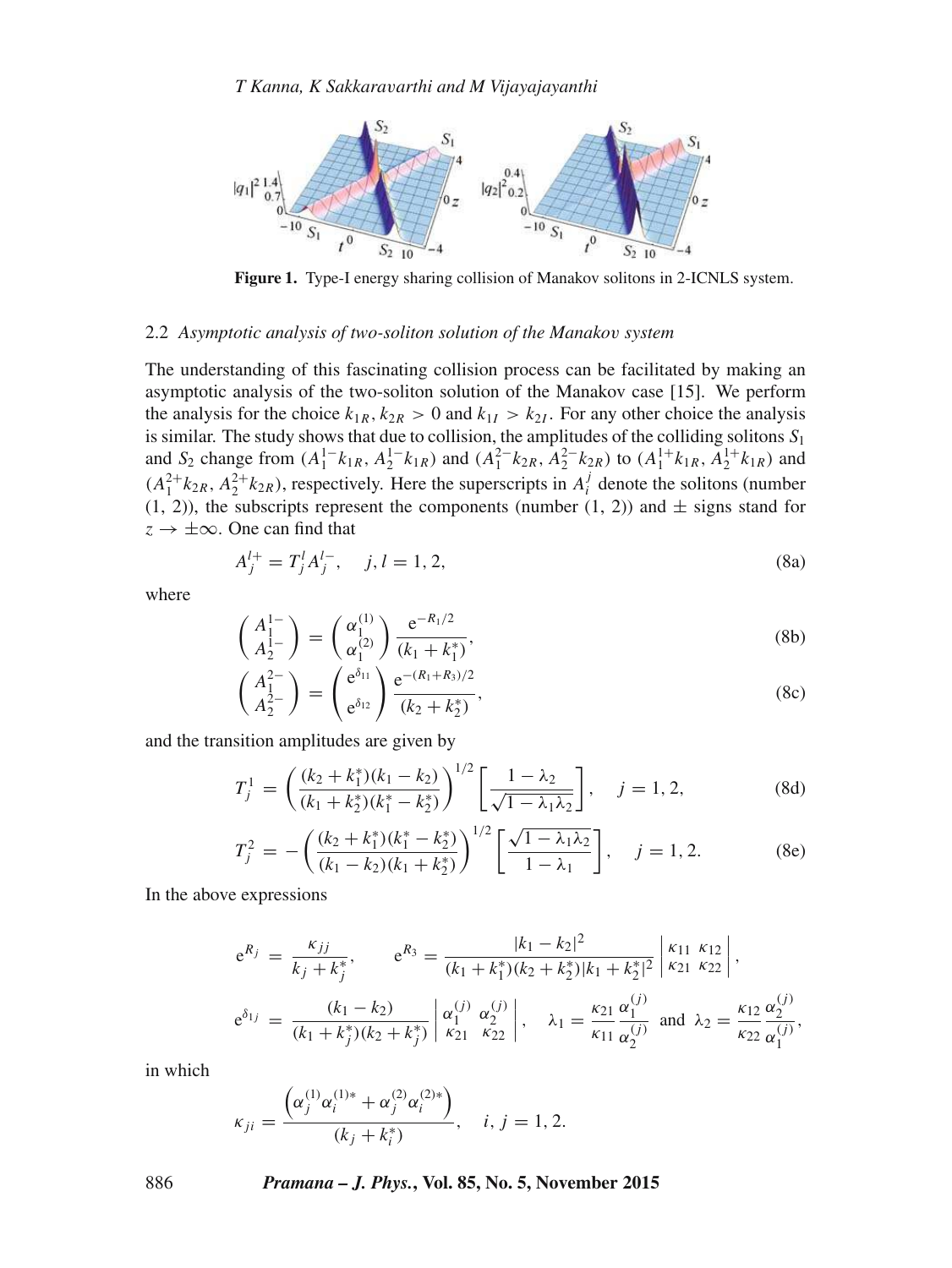

**Figure 1.** Type-I energy sharing collision of Manakov solitons in 2-ICNLS system.

# 2.2 *Asymptotic analysis of two-soliton solution of the Manako*v *system*

The understanding of this fascinating collision process can be facilitated by making an asymptotic analysis of the two-soliton solution of the Manakov case [15]. We perform the analysis for the choice  $k_{1R}$ ,  $k_{2R} > 0$  and  $k_{1I} > k_{2I}$ . For any other choice the analysis is similar. The study shows that due to collision, the amplitudes of the colliding solitons  $S_1$ and  $S_2$  change from  $(A_1^{1-k_{1R}}, A_2^{1-k_{1R}})$  and  $(A_1^{2-k_{2R}}, A_2^{2-k_{2R}})$  to  $(A_1^{1+k_{1R}}, A_2^{1+k_{1R}})$  and  $(A_1^{2+}k_{2R}, A_2^{2+}k_{2R})$ , respectively. Here the superscripts in  $A_i^j$  denote the solitons (number  $(1, 2)$ ), the subscripts represent the components (number  $(1, 2)$ ) and  $\pm$  signs stand for  $z \rightarrow \pm \infty$ . One can find that

$$
A_j^{l+} = T_j^l A_j^{l-}, \quad j, l = 1, 2,
$$
\n(8a)

where

$$
\begin{pmatrix} A_1^{1-} \\ A_2^{1-} \end{pmatrix} = \begin{pmatrix} \alpha_1^{(1)} \\ \alpha_1^{(2)} \end{pmatrix} \frac{e^{-R_1/2}}{(k_1 + k_1^*)},\tag{8b}
$$

$$
\begin{pmatrix} A_1^{2-} \ A_2^{2-} \end{pmatrix} = \begin{pmatrix} e^{\delta_{11}} \ e^{\delta_{12}} \end{pmatrix} \frac{e^{-(R_1 + R_3)/2}}{(k_2 + k_2^*)},
$$
(8c)

and the transition amplitudes are given by

$$
T_j^1 = \left(\frac{(k_2 + k_1^*)(k_1 - k_2)}{(k_1 + k_2^*)(k_1^* - k_2^*)}\right)^{1/2} \left[\frac{1 - \lambda_2}{\sqrt{1 - \lambda_1 \lambda_2}}\right], \quad j = 1, 2,
$$
 (8d)

$$
T_j^2 = -\left(\frac{(k_2 + k_1^*)(k_1^* - k_2^*)}{(k_1 - k_2)(k_1 + k_2^*)}\right)^{1/2} \left[\frac{\sqrt{1 - \lambda_1 \lambda_2}}{1 - \lambda_1}\right], \quad j = 1, 2.
$$
 (8e)

In the above expressions

$$
e^{R_j} = \frac{\kappa_{jj}}{k_j + k_j^*}, \qquad e^{R_3} = \frac{|k_1 - k_2|^2}{(k_1 + k_1^*)(k_2 + k_2^*)|k_1 + k_2^*|^2} \begin{vmatrix} \kappa_{11} & \kappa_{12} \\ \kappa_{21} & \kappa_{22} \end{vmatrix},
$$
  

$$
e^{\delta_{1j}} = \frac{(k_1 - k_2)}{(k_1 + k_j^*)(k_2 + k_j^*)} \begin{vmatrix} \alpha_1^{(j)} & \alpha_2^{(j)} \\ \kappa_{21} & \kappa_{22} \end{vmatrix}, \qquad \lambda_1 = \frac{\kappa_{21}}{\kappa_{11}} \frac{\alpha_1^{(j)}}{\alpha_2^{(j)}} \text{ and } \lambda_2 = \frac{\kappa_{12}}{\kappa_{22}} \frac{\alpha_2^{(j)}}{\alpha_1^{(j)}},
$$

in which

$$
\kappa_{ji} = \frac{\left(\alpha_j^{(1)}\alpha_i^{(1)*} + \alpha_j^{(2)}\alpha_i^{(2)*}\right)}{(k_j + k_i^*)}, \quad i, j = 1, 2.
$$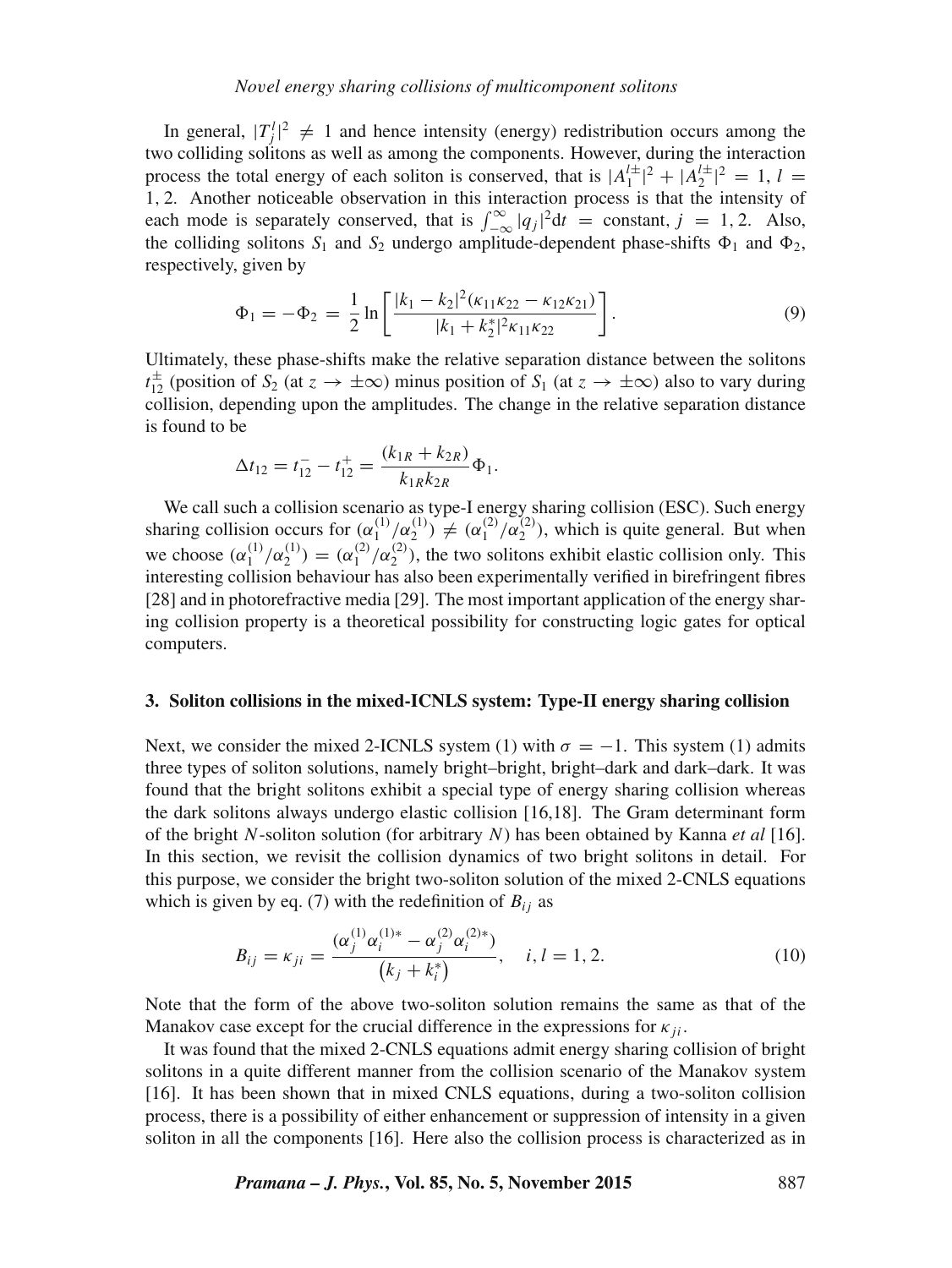In general,  $|T_j^l|^2 \neq 1$  and hence intensity (energy) redistribution occurs among the two colliding solitons as well as among the components. However, during the interaction process the total energy of each soliton is conserved, that is  $|A_1^{l\pm}|^2 + |A_2^{l\pm}|^2 = 1$ ,  $l =$ 1, 2. Another noticeable observation in this interaction process is that the intensity of each mode is separately conserved, that is  $\int_{-\infty}^{\infty} |q_j|^2 dt = \text{constant}, j = 1, 2$ . Also, the colliding solitons  $S_1$  and  $S_2$  undergo amplitude-dependent phase-shifts  $\Phi_1$  and  $\Phi_2$ , respectively, given by

$$
\Phi_1 = -\Phi_2 = \frac{1}{2} \ln \left[ \frac{|k_1 - k_2|^2 (\kappa_{11} \kappa_{22} - \kappa_{12} \kappa_{21})}{|k_1 + k_2^*|^2 \kappa_{11} \kappa_{22}} \right].
$$
\n(9)

Ultimately, these phase-shifts make the relative separation distance between the solitons  $t_{12}^{\pm}$  (position of  $S_2$  (at  $z \to \pm \infty$ ) minus position of  $S_1$  (at  $z \to \pm \infty$ ) also to vary during collision, depending upon the amplitudes. The change in the relative separation distance is found to be

$$
\Delta t_{12} = t_{12}^- - t_{12}^+ = \frac{(k_{1R} + k_{2R})}{k_{1R}k_{2R}} \Phi_1.
$$

We call such a collision scenario as type-I energy sharing collision (ESC). Such energy sharing collision occurs for  $(\alpha_1^{(1)}/\alpha_2^{(1)}) \neq (\alpha_1^{(2)}/\alpha_2^{(2)})$ , which is quite general. But when we choose  $(\alpha_1^{(1)}/\alpha_2^{(1)}) = (\alpha_1^{(2)}/\alpha_2^{(2)})$ , the two solitons exhibit elastic collision only. This interesting collision behaviour has also been experimentally verified in birefringent fibres [28] and in photorefractive media [29]. The most important application of the energy sharing collision property is a theoretical possibility for constructing logic gates for optical computers.

#### **3. Soliton collisions in the mixed-ICNLS system: Type-II energy sharing collision**

Next, we consider the mixed 2-ICNLS system (1) with  $\sigma = -1$ . This system (1) admits three types of soliton solutions, namely bright–bright, bright–dark and dark–dark. It was found that the bright solitons exhibit a special type of energy sharing collision whereas the dark solitons always undergo elastic collision [16,18]. The Gram determinant form of the bright N-soliton solution (for arbitrary N) has been obtained by Kanna *et al* [16]. In this section, we revisit the collision dynamics of two bright solitons in detail. For this purpose, we consider the bright two-soliton solution of the mixed 2-CNLS equations which is given by eq. (7) with the redefinition of  $B_{ij}$  as

$$
B_{ij} = \kappa_{ji} = \frac{(\alpha_j^{(1)} \alpha_i^{(1)*} - \alpha_j^{(2)} \alpha_i^{(2)*})}{(k_j + k_i^*)}, \quad i, l = 1, 2.
$$
 (10)

Note that the form of the above two-soliton solution remains the same as that of the Manakov case except for the crucial difference in the expressions for  $\kappa_{ii}$ .

It was found that the mixed 2-CNLS equations admit energy sharing collision of bright solitons in a quite different manner from the collision scenario of the Manakov system [16]. It has been shown that in mixed CNLS equations, during a two-soliton collision process, there is a possibility of either enhancement or suppression of intensity in a given soliton in all the components [16]. Here also the collision process is characterized as in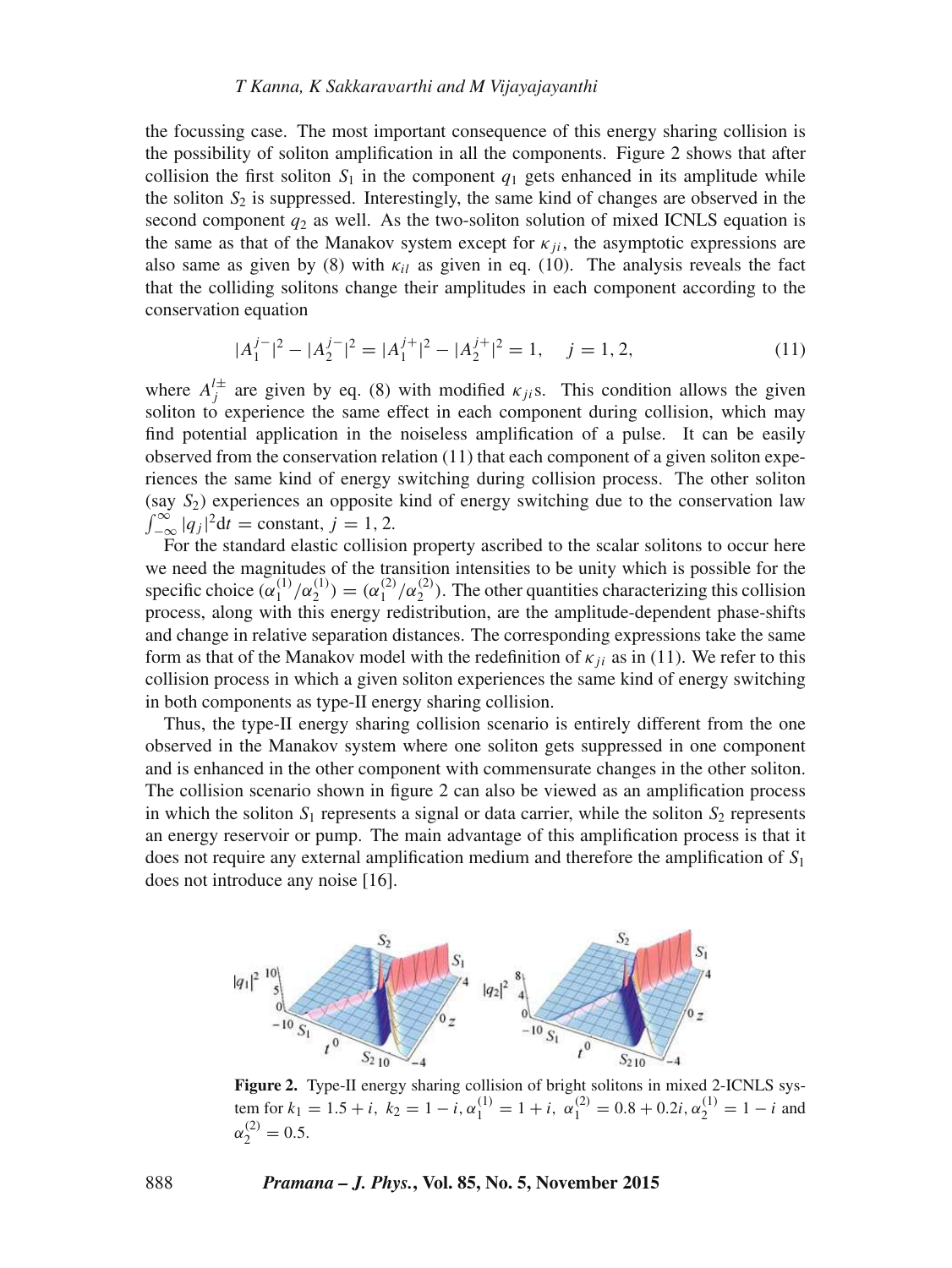the focussing case. The most important consequence of this energy sharing collision is the possibility of soliton amplification in all the components. Figure 2 shows that after collision the first soliton  $S_1$  in the component  $q_1$  gets enhanced in its amplitude while the soliton  $S_2$  is suppressed. Interestingly, the same kind of changes are observed in the second component  $q_2$  as well. As the two-soliton solution of mixed ICNLS equation is the same as that of the Manakov system except for  $\kappa_{ii}$ , the asymptotic expressions are also same as given by (8) with  $\kappa_{il}$  as given in eq. (10). The analysis reveals the fact that the colliding solitons change their amplitudes in each component according to the conservation equation

$$
|A_1^{j-}|^2 - |A_2^{j-}|^2 = |A_1^{j+}|^2 - |A_2^{j+}|^2 = 1, \quad j = 1, 2,
$$
\n(11)

where  $A_j^{\perp \pm}$  are given by eq. (8) with modified  $\kappa_{ji}$ s. This condition allows the given soliton to experience the same effect in each component during collision, which may find potential application in the noiseless amplification of a pulse. It can be easily observed from the conservation relation  $(11)$  that each component of a given soliton experiences the same kind of energy switching during collision process. The other soliton (say  $S_2$ ) experiences an opposite kind of energy switching due to the conservation law  $\int_{-\infty}^{\infty} |q_j|^2 dt = \text{constant}, j = 1, 2.$ 

For the standard elastic collision property ascribed to the scalar solitons to occur here we need the magnitudes of the transition intensities to be unity which is possible for the specific choice  $(\alpha_1^{(1)}/\alpha_2^{(1)}) = (\alpha_1^{(2)}/\alpha_2^{(2)})$ . The other quantities characterizing this collision process, along with this energy redistribution, are the amplitude-dependent phase-shifts and change in relative separation distances. The corresponding expressions take the same form as that of the Manakov model with the redefinition of  $\kappa_{ii}$  as in (11). We refer to this collision process in which a given soliton experiences the same kind of energy switching in both components as type-II energy sharing collision.

Thus, the type-II energy sharing collision scenario is entirely different from the one observed in the Manakov system where one soliton gets suppressed in one component and is enhanced in the other component with commensurate changes in the other soliton. The collision scenario shown in figure 2 can also be viewed as an amplification process in which the soliton  $S_1$  represents a signal or data carrier, while the soliton  $S_2$  represents an energy reservoir or pump. The main advantage of this amplification process is that it does not require any external amplification medium and therefore the amplification of  $S_1$ does not introduce any noise [16].



**Figure 2.** Type-II energy sharing collision of bright solitons in mixed 2-ICNLS system for  $k_1 = 1.5 + i$ ,  $k_2 = 1 - i$ ,  $\alpha_1^{(1)} = 1 + i$ ,  $\alpha_1^{(2)} = 0.8 + 0.2i$ ,  $\alpha_2^{(1)} = 1 - i$  and  $\alpha_2^{(2)} = 0.5.$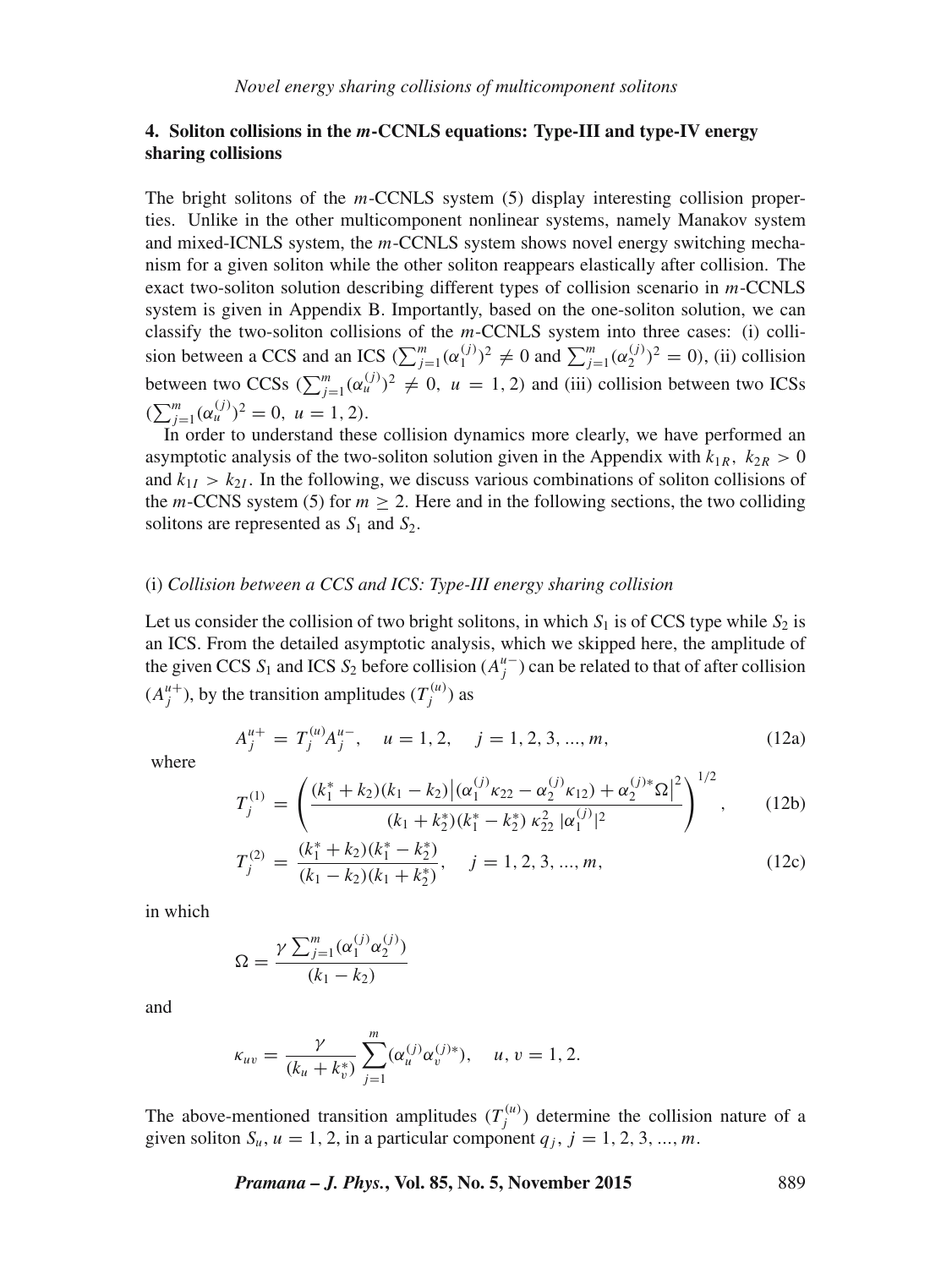# **4. Soliton collisions in the** m**-CCNLS equations: Type-III and type-IV energy sharing collisions**

The bright solitons of the  $m$ -CCNLS system  $(5)$  display interesting collision properties. Unlike in the other multicomponent nonlinear systems, namely Manakov system and mixed-ICNLS system, the m-CCNLS system shows novel energy switching mechanism for a given soliton while the other soliton reappears elastically after collision. The exact two-soliton solution describing different types of collision scenario in m-CCNLS system is given in Appendix B. Importantly, based on the one-soliton solution, we can classify the two-soliton collisions of the m-CCNLS system into three cases: (i) collision between a CCS and an ICS  $(\sum_{j=1}^{m} (\alpha_1^{(j)})^2 \neq 0$  and  $\sum_{j=1}^{m} (\alpha_2^{(j)})^2 = 0$ , (ii) collision between two CCSs  $(\sum_{j=1}^{m} (\alpha_u^{(j)})^2 \neq 0, u = 1, 2)$  and (iii) collision between two ICSs  $(\sum_{j=1}^{m} (\alpha_u^{(j)})^2 = 0, u = 1, 2).$ 

In order to understand these collision dynamics more clearly, we have performed an asymptotic analysis of the two-soliton solution given in the Appendix with  $k_{1R}$ ,  $k_{2R} > 0$ and  $k_{1I} > k_{2I}$ . In the following, we discuss various combinations of soliton collisions of the m-CCNS system (5) for  $m > 2$ . Here and in the following sections, the two colliding solitons are represented as  $S_1$  and  $S_2$ .

# (i) *Collision between a CCS and ICS: Type-III energy sharing collision*

Let us consider the collision of two bright solitons, in which  $S_1$  is of CCS type while  $S_2$  is an ICS. From the detailed asymptotic analysis, which we skipped here, the amplitude of the given CCS  $S_1$  and ICS  $S_2$  before collision  $(A_j^{\mu})$  can be related to that of after collision  $(A_j^{u+})$ , by the transition amplitudes  $(T_j^{(u)})$  as

$$
A_j^{u+} = T_j^{(u)} A_j^{u-}, \quad u = 1, 2, \quad j = 1, 2, 3, ..., m,
$$
 (12a)

where

$$
T_j^{(1)} = \left(\frac{(k_1^* + k_2)(k_1 - k_2)|(\alpha_1^{(j)}k_{22} - \alpha_2^{(j)}k_{12}) + \alpha_2^{(j)*}\Omega|^2}{(k_1 + k_2^*)(k_1^* - k_2^*)\kappa_{22}^2|\alpha_1^{(j)}|^2}\right)^{1/2},\qquad(12b)
$$

$$
T_j^{(2)} = \frac{(k_1^* + k_2)(k_1^* - k_2^*)}{(k_1 - k_2)(k_1 + k_2^*)}, \quad j = 1, 2, 3, ..., m,
$$
\n(12c)

in which

$$
\Omega = \frac{\gamma \sum_{j=1}^{m} (\alpha_1^{(j)} \alpha_2^{(j)})}{(k_1 - k_2)}
$$

and

$$
\kappa_{uv} = \frac{\gamma}{(k_u + k_v^*)} \sum_{j=1}^m (\alpha_u^{(j)} \alpha_v^{(j)*}), \quad u, v = 1, 2.
$$

The above-mentioned transition amplitudes  $(T_j^{(u)})$  determine the collision nature of a given soliton  $S_u$ ,  $u = 1, 2$ , in a particular component  $q_j$ ,  $j = 1, 2, 3, ..., m$ .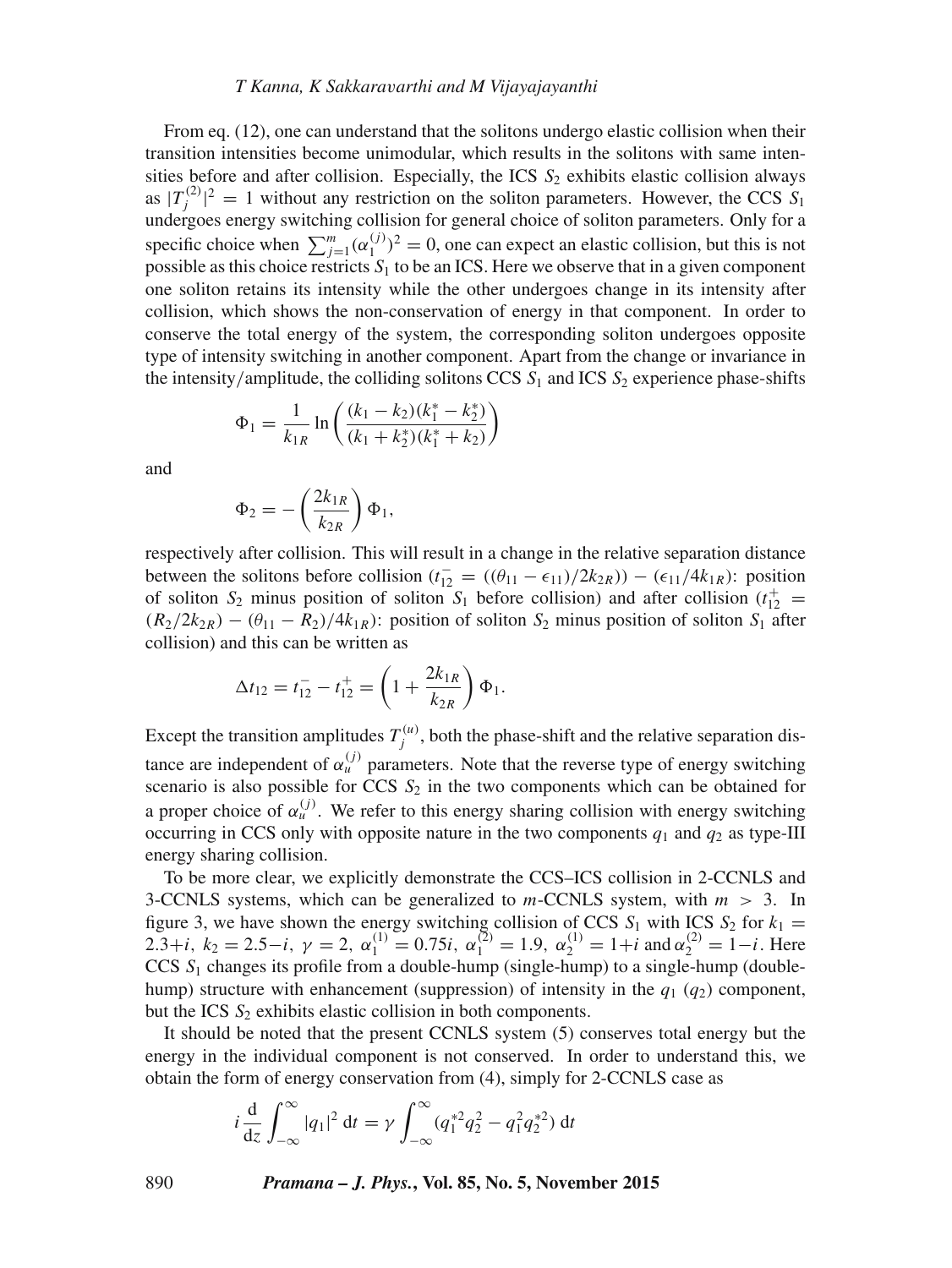#### *T Kanna, K Sakkara*v*arthi and M Vijayajayanthi*

From eq. (12), one can understand that the solitons undergo elastic collision when their transition intensities become unimodular, which results in the solitons with same intensities before and after collision. Especially, the ICS  $S_2$  exhibits elastic collision always as  $|T_j^{(2)}|^2 = 1$  without any restriction on the soliton parameters. However, the CCS  $S_1$ undergoes energy switching collision for general choice of soliton parameters. Only for a specific choice when  $\sum_{j=1}^{m} (\alpha_1^{(j)})^2 = 0$ , one can expect an elastic collision, but this is not specific entries when  $\sum_{j=1}^{\infty}$  ( $\alpha_1$ ) = 0, one can expect an easile consisting out this is not possible as this choice restricts  $S_1$  to be an ICS. Here we observe that in a given component one soliton retains its intensity while the other undergoes change in its intensity after collision, which shows the non-conservation of energy in that component. In order to conserve the total energy of the system, the corresponding soliton undergoes opposite type of intensity switching in another component. Apart from the change or invariance in the intensity/amplitude, the colliding solitons CCS  $S_1$  and ICS  $S_2$  experience phase-shifts

$$
\Phi_1 = \frac{1}{k_{1R}} \ln \left( \frac{(k_1 - k_2)(k_1^* - k_2^*)}{(k_1 + k_2^*)(k_1^* + k_2)} \right)
$$

and

$$
\Phi_2 = -\left(\frac{2k_{1R}}{k_{2R}}\right)\Phi_1,
$$

respectively after collision. This will result in a change in the relative separation distance between the solitons before collision  $(t_{12}^- = ((\theta_{11} - \epsilon_{11})/2k_{2R})) - (\epsilon_{11}/4k_{1R})$ : position of soliton  $S_2$  minus position of soliton  $S_1$  before collision) and after collision  $(t_{12}^+)$  $(R_2/2k_{2R}) - (\theta_{11} - R_2)/4k_{1R}$ : position of soliton  $S_2$  minus position of soliton  $S_1$  after collision) and this can be written as

$$
\Delta t_{12} = t_{12}^- - t_{12}^+ = \left(1 + \frac{2k_{1R}}{k_{2R}}\right) \Phi_1.
$$

Except the transition amplitudes  $T_j^{(u)}$ , both the phase-shift and the relative separation distance are independent of  $\alpha_u^{(j)}$  parameters. Note that the reverse type of energy switching scenario is also possible for CCS  $S_2$  in the two components which can be obtained for a proper choice of  $\alpha_u^{(j)}$ . We refer to this energy sharing collision with energy switching occurring in CCS only with opposite nature in the two components  $q_1$  and  $q_2$  as type-III energy sharing collision.

To be more clear, we explicitly demonstrate the CCS–ICS collision in 2-CCNLS and 3-CCNLS systems, which can be generalized to  $m$ -CCNLS system, with  $m > 3$ . In figure 3, we have shown the energy switching collision of CCS  $S_1$  with ICS  $S_2$  for  $k_1 =$ 2.3+*i*,  $k_2 = 2.5 - i$ ,  $\gamma = 2$ ,  $\alpha_1^{(1)} = 0.75i$ ,  $\alpha_1^{(2)} = 1.9$ ,  $\alpha_2^{(1)} = 1 + i$  and  $\alpha_2^{(2)} = 1 - i$ . Here  $CCS$   $S_1$  changes its profile from a double-hump (single-hump) to a single-hump (doublehump) structure with enhancement (suppression) of intensity in the  $q_1$  ( $q_2$ ) component, but the ICS  $S_2$  exhibits elastic collision in both components.

It should be noted that the present CCNLS system (5) conserves total energy but the energy in the individual component is not conserved. In order to understand this, we obtain the form of energy conservation from (4), simply for 2-CCNLS case as

$$
i \frac{d}{dz} \int_{-\infty}^{\infty} |q_1|^2 dt = \gamma \int_{-\infty}^{\infty} (q_1^{*2} q_2^2 - q_1^2 q_2^{*2}) dt
$$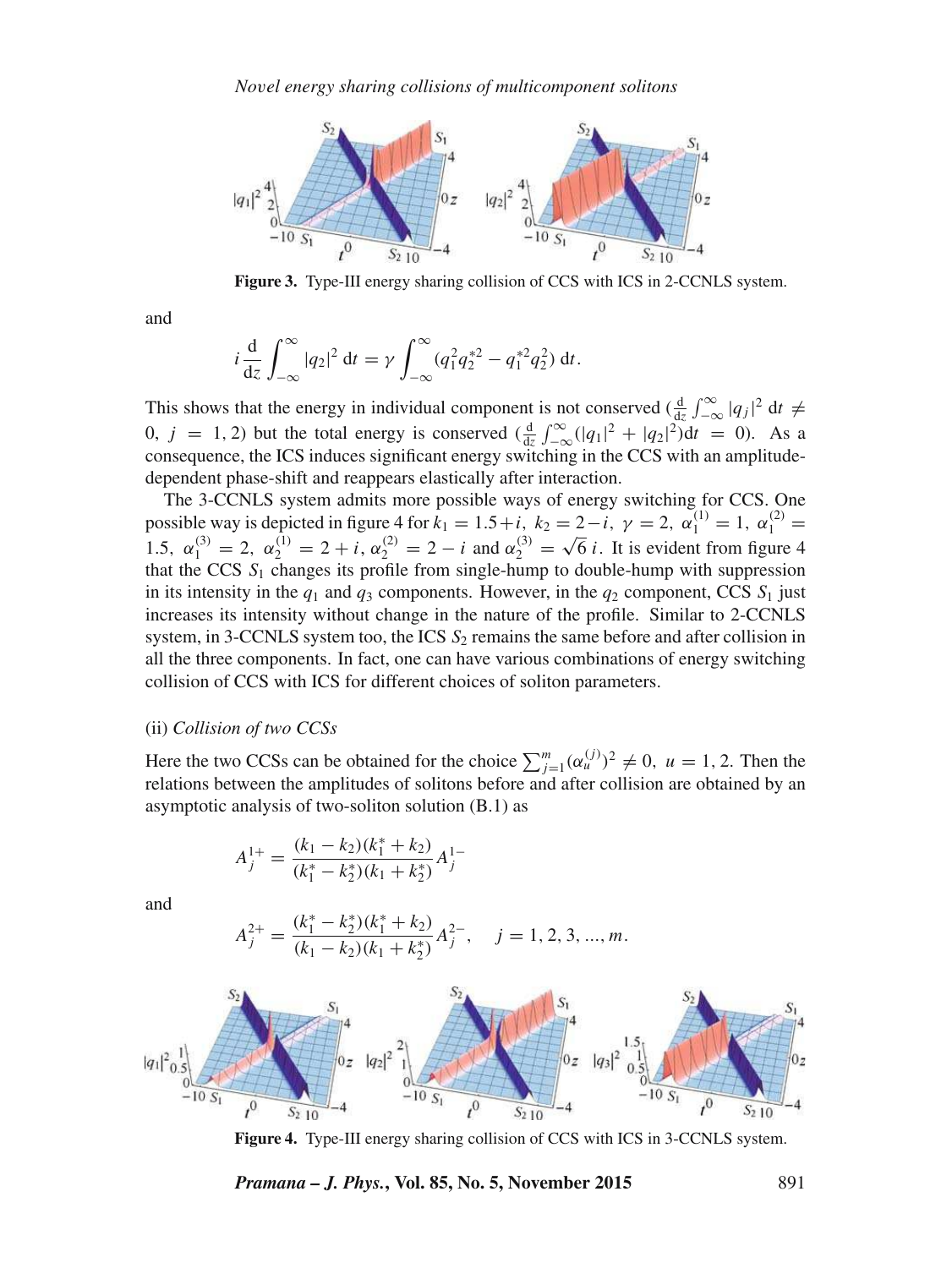

**Figure 3.** Type-III energy sharing collision of CCS with ICS in 2-CCNLS system.

and

$$
i\frac{d}{dz}\int_{-\infty}^{\infty}|q_2|^2 dt = \gamma \int_{-\infty}^{\infty} (q_1^2 q_2^{*2} - q_1^{*2} q_2^2) dt.
$$

This shows that the energy in individual component is not conserved  $\left(\frac{d}{dz}\int_{-\infty}^{\infty} |q_j|^2 dt \neq 0$ 0,  $j = 1, 2$ ) but the total energy is conserved  $\left(\frac{d}{dz}\int_{-\infty}^{\infty}(|q_1|^2 + |q_2|^2)dt = 0\right)$ . As a consequence, the ICS induces significant energy switching in the CCS with an amplitudedependent phase-shift and reappears elastically after interaction.

The 3-CCNLS system admits more possible ways of energy switching for CCS. One possible way is depicted in figure 4 for  $k_1 = 1.5 + i$ ,  $k_2 = 2 - i$ ,  $\gamma = 2$ ,  $\alpha_1^{(1)} = 1$ ,  $\alpha_1^{(2)} = 1$ 1.5,  $\alpha_1^{(3)} = 2$ ,  $\alpha_2^{(1)} = 2 + i$ ,  $\alpha_2^{(2)} = 2 - i$  and  $\alpha_2^{(3)} =$  $\sqrt{6}$  *i*. It is evident from figure 4 that the CCS  $S_1$  changes its profile from single-hump to double-hump with suppression in its intensity in the  $q_1$  and  $q_3$  components. However, in the  $q_2$  component, CCS  $S_1$  just increases its intensity without change in the nature of the profile. Similar to 2-CCNLS system, in 3-CCNLS system too, the ICS  $S_2$  remains the same before and after collision in all the three components. In fact, one can have various combinations of energy switching collision of CCS with ICS for different choices of soliton parameters.

#### (ii) *Collision of two CCSs*

Here the two CCSs can be obtained for the choice  $\sum_{j=1}^{m} (\alpha_u^{(j)})^2 \neq 0$ ,  $u = 1, 2$ . Then the relations between the amplitudes of solitons before and after collision are obtained by an asymptotic analysis of two-soliton solution (B.1) as

$$
A_j^{1+} = \frac{(k_1 - k_2)(k_1^* + k_2)}{(k_1^* - k_2^*)(k_1 + k_2^*)} A_j^{1-}
$$

and

$$
A_j^{2+} = \frac{(k_1^* - k_2^*)(k_1^* + k_2)}{(k_1 - k_2)(k_1 + k_2^*)} A_j^{2-}, \quad j = 1, 2, 3, ..., m.
$$



**Figure 4.** Type-III energy sharing collision of CCS with ICS in 3-CCNLS system.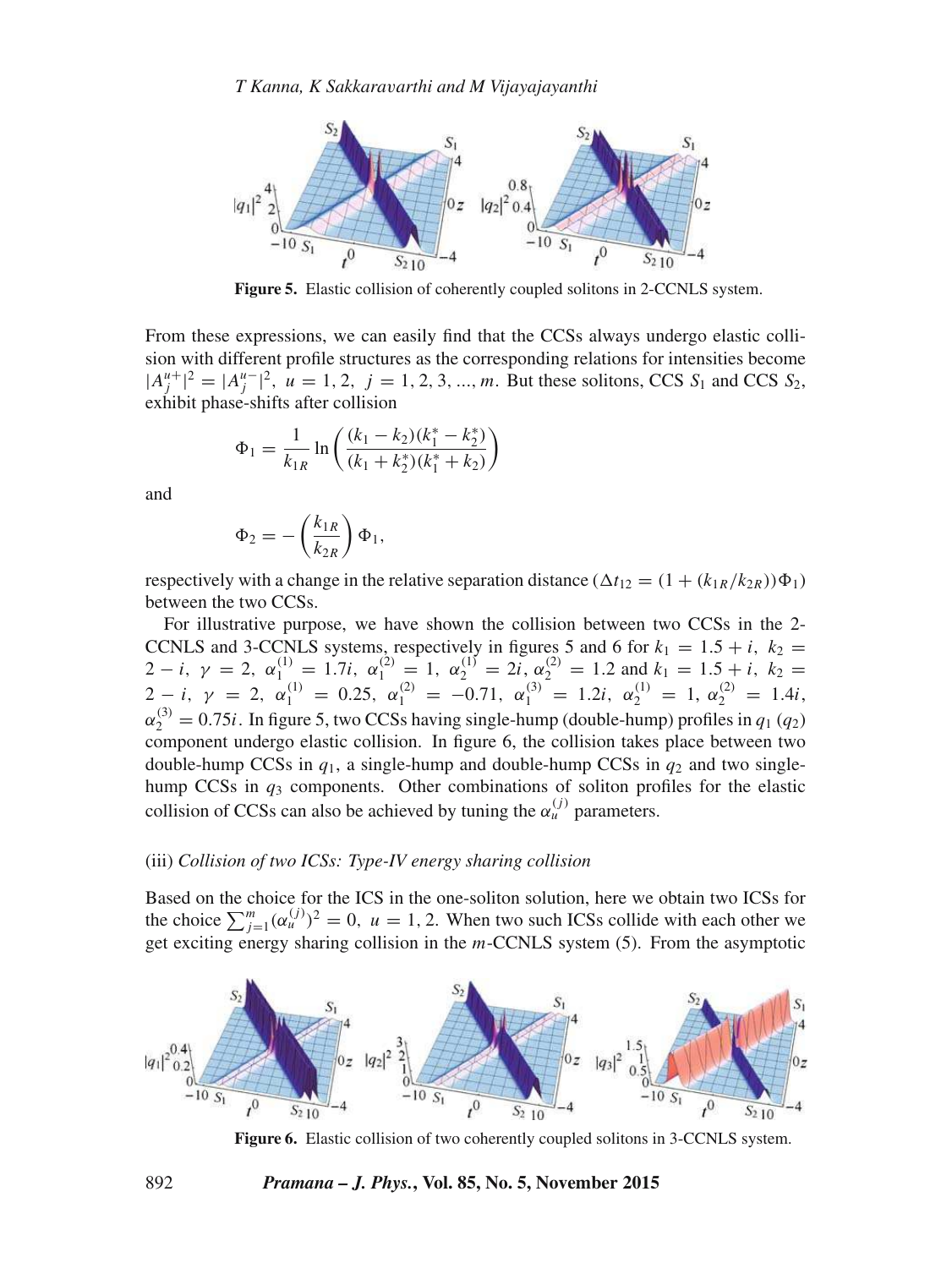

**Figure 5.** Elastic collision of coherently coupled solitons in 2-CCNLS system.

From these expressions, we can easily find that the CCSs always undergo elastic collision with different profile structures as the corresponding relations for intensities become  $|A_j^{u+}|^2 = |A_j^{u-}|^2$ ,  $u = 1, 2, j = 1, 2, 3, ..., m$ . But these solitons, CCS  $S_1$  and CCS  $S_2$ , exhibit phase-shifts after collision

$$
\Phi_1 = \frac{1}{k_{1R}} \ln \left( \frac{(k_1 - k_2)(k_1^* - k_2^*)}{(k_1 + k_2^*)(k_1^* + k_2)} \right)
$$

and

$$
\Phi_2 = -\left(\frac{k_{1R}}{k_{2R}}\right)\Phi_1,
$$

respectively with a change in the relative separation distance  $(\Delta t_{12} = (1 + (k_{1R}/k_{2R}))\Phi_1)$ between the two CCSs.

For illustrative purpose, we have shown the collision between two CCSs in the 2- CCNLS and 3-CCNLS systems, respectively in figures 5 and 6 for  $k_1 = 1.5 + i$ ,  $k_2 =$ 2 − i,  $\gamma = 2$ ,  $\alpha_1^{(1)} = 1.7i$ ,  $\alpha_1^{(2)} = 1$ ,  $\alpha_2^{(1)} = 2i$ ,  $\alpha_2^{(2)} = 1.2$  and  $k_1 = 1.5 + i$ ,  $k_2 =$ 2 - i,  $\gamma = 2$ ,  $\alpha_1^{(1)} = 0.25$ ,  $\alpha_1^{(2)} = -0.71$ ,  $\alpha_1^{(3)} = 1.2i$ ,  $\alpha_2^{(1)} = 1$ ,  $\alpha_2^{(2)} = 1.4i$ ,  $\alpha_2^{(3)} = 0.75i$ . In figure 5, two CCSs having single-hump (double-hump) profiles in  $q_1$  ( $q_2$ ) component undergo elastic collision. In figure 6, the collision takes place between two double-hump CCSs in  $q_1$ , a single-hump and double-hump CCSs in  $q_2$  and two singlehump CCSs in  $q_3$  components. Other combinations of soliton profiles for the elastic collision of CCSs can also be achieved by tuning the  $\alpha_u^{(j)}$  parameters.

#### (iii) *Collision of two ICSs: Type-IV energy sharing collision*

Based on the choice for the ICS in the one-soliton solution, here we obtain two ICSs for the choice  $\sum_{j=1}^{m} (\alpha_u^{(j)})^2 = 0$ ,  $u = 1, 2$ . When two such ICSs collide with each other we get exciting energy sharing collision in the  $m$ -CCNLS system  $(5)$ . From the asymptotic



**Figure 6.** Elastic collision of two coherently coupled solitons in 3-CCNLS system.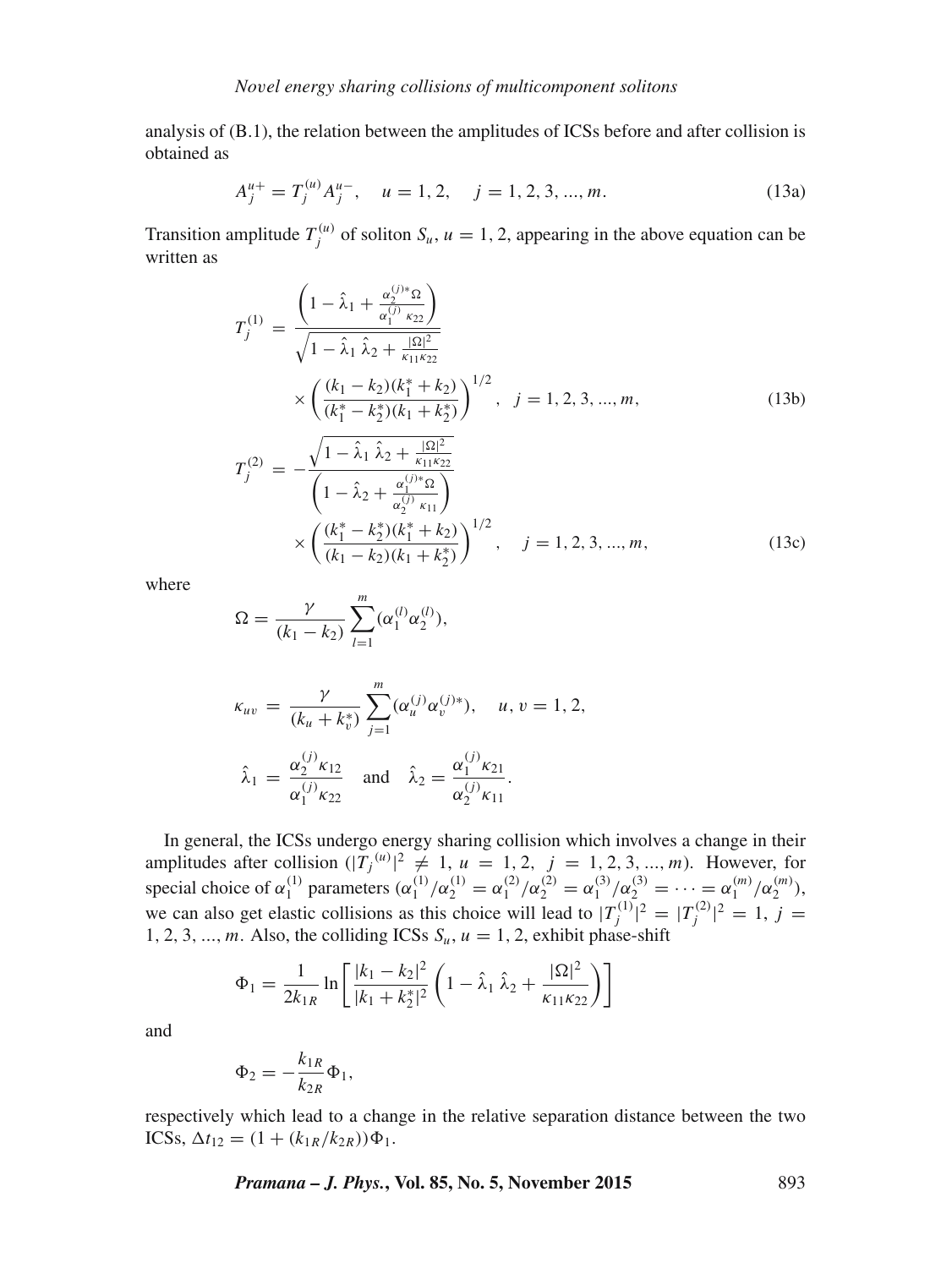analysis of (B.1), the relation between the amplitudes of ICSs before and after collision is obtained as

$$
A_j^{\mu+} = T_j^{(\mu)} A_j^{\mu-}, \quad \mu = 1, 2, \quad j = 1, 2, 3, ..., m.
$$
 (13a)

Transition amplitude  $T_j^{(u)}$  of soliton  $S_u$ ,  $u = 1, 2$ , appearing in the above equation can be written as

$$
T_{j}^{(1)} = \frac{\left(1 - \hat{\lambda}_{1} + \frac{\alpha_{2}^{(j)*}\Omega}{\alpha_{1}^{(j)} \kappa_{22}}\right)}{\sqrt{1 - \hat{\lambda}_{1} \hat{\lambda}_{2} + \frac{|\Omega|^{2}}{\kappa_{11}\kappa_{22}}}} \times \left(\frac{(k_{1} - k_{2})(k_{1}^{*} + k_{2})}{(k_{1}^{*} - k_{2}^{*})(k_{1} + k_{2}^{*})}\right)^{1/2}, \quad j = 1, 2, 3, ..., m,
$$
\n
$$
T_{j}^{(2)} = -\frac{\sqrt{1 - \hat{\lambda}_{1} \hat{\lambda}_{2} + \frac{|\Omega|^{2}}{\kappa_{11}\kappa_{22}}}}{\left(1 - \hat{\lambda}_{2} + \frac{\alpha_{1}^{(j)*}\Omega}{\alpha_{2}^{(j)} \kappa_{11}}\right)} \times \left(\frac{(k_{1}^{*} - k_{2}^{*})(k_{1}^{*} + k_{2})}{k_{1}^{*} + k_{2}}\right)^{1/2}, \quad j = 1, 2, 3, ..., m
$$
\n(13c)

 $, \quad j = 1, 2, 3, ..., m,$  (13c)

where

$$
\Omega = \frac{\gamma}{(k_1 - k_2)} \sum_{l=1}^{m} (\alpha_1^{(l)} \alpha_2^{(l)}),
$$

×

$$
\kappa_{uv} = \frac{\gamma}{(k_u + k_v^*)} \sum_{j=1}^m (\alpha_u^{(j)} \alpha_v^{(j)*}), \quad u, v = 1, 2,
$$
  

$$
\hat{\lambda}_1 = \frac{\alpha_2^{(j)} \kappa_{12}}{\alpha_1^{(j)} \kappa_{22}} \quad \text{and} \quad \hat{\lambda}_2 = \frac{\alpha_1^{(j)} \kappa_{21}}{\alpha_2^{(j)} \kappa_{11}}.
$$

 $(k_1 - k_2)(k_1 + k_2^*)$ 

In general, the ICSs undergo energy sharing collision which involves a change in their amplitudes after collision  $(|T_j^{(u)}|^2 \neq 1, u = 1, 2, j = 1, 2, 3, ..., m$ ). However, for special choice of  $\alpha_1^{(1)}$  parameters  $(\alpha_1^{(1)}/\alpha_2^{(1)} = \alpha_1^{(2)}/\alpha_2^{(2)} = \alpha_1^{(3)}/\alpha_2^{(3)} = \cdots = \alpha_1^{(m)}/\alpha_2^{(m)}$ ), we can also get elastic collisions as this choice will lead to  $|T_j^{(1)}|^2 = |T_j^{(2)}|^2 = 1$ ,  $j =$ 1, 2, 3, ..., m. Also, the colliding ICSs  $S_u$ ,  $u = 1, 2$ , exhibit phase-shift

$$
\Phi_1 = \frac{1}{2k_{1R}} \ln \left[ \frac{|k_1 - k_2|^2}{|k_1 + k_2^*|^2} \left( 1 - \hat{\lambda}_1 \hat{\lambda}_2 + \frac{|\Omega|^2}{\kappa_{11} \kappa_{22}} \right) \right]
$$

and

$$
\Phi_2 = -\frac{k_{1R}}{k_{2R}} \Phi_1,
$$

respectively which lead to a change in the relative separation distance between the two ICSs,  $\Delta t_{12} = (1 + (k_{1R}/k_{2R}))\Phi_1$ .

*Pramana – J. Phys.***, Vol. 85, No. 5, November 2015** 893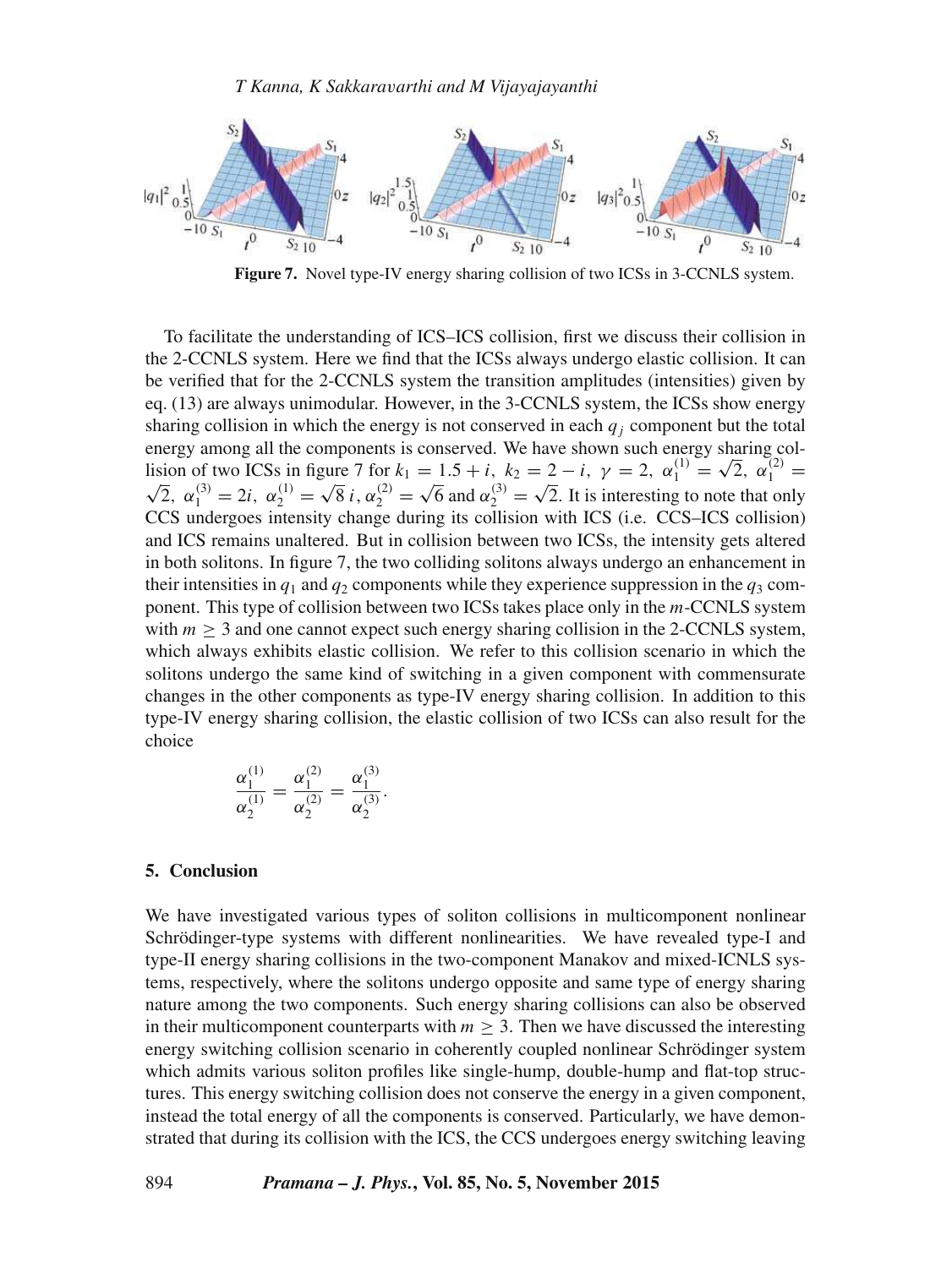

**Figure 7.** Novel type-IV energy sharing collision of two ICSs in 3-CCNLS system.

To facilitate the understanding of ICS–ICS collision, first we discuss their collision in the 2-CCNLS system. Here we find that the ICSs always undergo elastic collision. It can be verified that for the 2-CCNLS system the transition amplitudes (intensities) given by eq. (13) are always unimodular. However, in the 3-CCNLS system, the ICSs show energy sharing collision in which the energy is not conserved in each  $q_i$  component but the total energy among all the components is conserved. We have shown such energy sharing collision of two ICSs in figure 7 for  $k_1 = 1.5 + i$ ,  $k_2 = 2 - i$ ,  $\gamma = 2$ ,  $\alpha_1^{(1)} =$ Lision of two ICSs in figure 7 for  $k_1 = 1.5 + i$ ,  $k_2 = 2 - i$ ,  $\gamma = 2$ ,  $\alpha_1^{(1)} = \sqrt{2}$ ,  $\alpha_1^{(2)} = \sqrt{2}$ ,  $\alpha_1^{(3)} = 2i$ ,  $\alpha_2^{(1)} = \sqrt{8} i$ ,  $\alpha_2^{(2)} = \sqrt{6}$  and  $\alpha_2^{(3)} = \sqrt{2}$ . It is interesting to note that only  $\sqrt{8} i, \alpha_2^{(2)} =$  $\sqrt{6}$  and  $\alpha_2^{(3)}$  =  $\sqrt{2}$ . It is interesting to note that only CCS undergoes intensity change during its collision with ICS (i.e. CCS–ICS collision) and ICS remains unaltered. But in collision between two ICSs, the intensity gets altered in both solitons. In figure 7, the two colliding solitons always undergo an enhancement in their intensities in  $q_1$  and  $q_2$  components while they experience suppression in the  $q_3$  component. This type of collision between two ICSs takes place only in the m-CCNLS system with  $m \geq 3$  and one cannot expect such energy sharing collision in the 2-CCNLS system, which always exhibits elastic collision. We refer to this collision scenario in which the solitons undergo the same kind of switching in a given component with commensurate changes in the other components as type-IV energy sharing collision. In addition to this type-IV energy sharing collision, the elastic collision of two ICSs can also result for the choice

$$
\frac{\alpha_1^{(1)}}{\alpha_2^{(1)}} = \frac{\alpha_1^{(2)}}{\alpha_2^{(2)}} = \frac{\alpha_1^{(3)}}{\alpha_2^{(3)}}.
$$

## **5. Conclusion**

We have investigated various types of soliton collisions in multicomponent nonlinear Schrödinger-type systems with different nonlinearities. We have revealed type-I and type-II energy sharing collisions in the two-component Manakov and mixed-ICNLS systems, respectively, where the solitons undergo opposite and same type of energy sharing nature among the two components. Such energy sharing collisions can also be observed in their multicomponent counterparts with  $m \geq 3$ . Then we have discussed the interesting energy switching collision scenario in coherently coupled nonlinear Schrödinger system which admits various soliton profiles like single-hump, double-hump and flat-top structures. This energy switching collision does not conserve the energy in a given component, instead the total energy of all the components is conserved. Particularly, we have demonstrated that during its collision with the ICS, the CCS undergoes energy switching leaving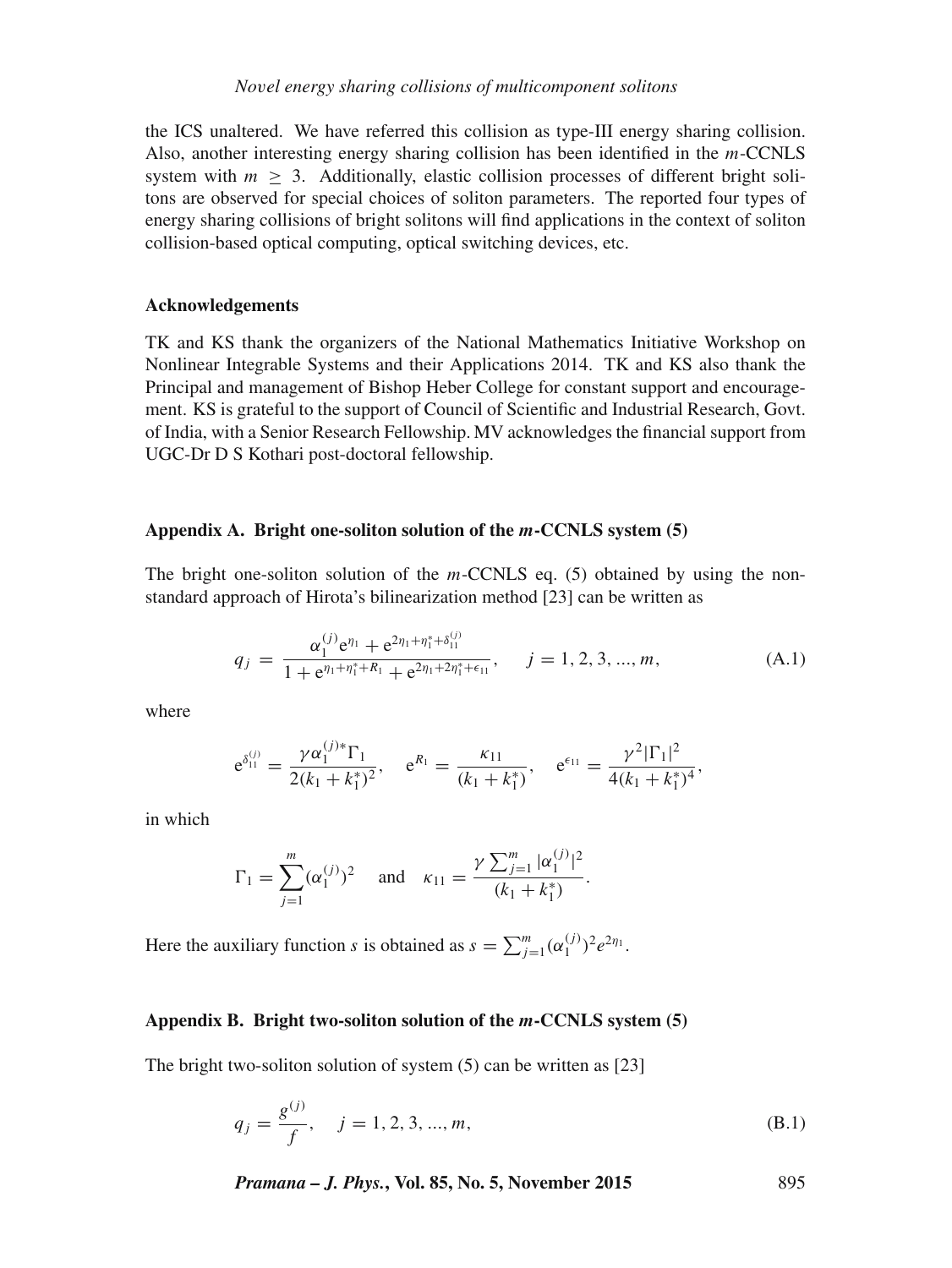the ICS unaltered. We have referred this collision as type-III energy sharing collision. Also, another interesting energy sharing collision has been identified in the m-CCNLS system with  $m > 3$ . Additionally, elastic collision processes of different bright solitons are observed for special choices of soliton parameters. The reported four types of energy sharing collisions of bright solitons will find applications in the context of soliton collision-based optical computing, optical switching devices, etc.

# **Acknowledgements**

TK and KS thank the organizers of the National Mathematics Initiative Workshop on Nonlinear Integrable Systems and their Applications 2014. TK and KS also thank the Principal and management of Bishop Heber College for constant support and encouragement. KS is grateful to the support of Council of Scientific and Industrial Research, Govt. of India, with a Senior Research Fellowship. MV acknowledges the financial support from UGC-Dr D S Kothari post-doctoral fellowship.

## **Appendix A. Bright one-soliton solution of the** m**-CCNLS system (5)**

The bright one-soliton solution of the  $m$ -CCNLS eq. (5) obtained by using the nonstandard approach of Hirota's bilinearization method [23] can be written as

$$
q_j = \frac{\alpha_1^{(j)} e^{\eta_1} + e^{2\eta_1 + \eta_1^* + \delta_{11}^{(j)}}}{1 + e^{\eta_1 + \eta_1^* + R_1} + e^{2\eta_1 + 2\eta_1^* + \epsilon_{11}}}, \quad j = 1, 2, 3, ..., m,
$$
 (A.1)

where

$$
e^{\delta_{11}^{(j)}} = \frac{\gamma \alpha_1^{(j)*} \Gamma_1}{2(k_1 + k_1^*)^2}
$$
,  $e^{R_1} = \frac{k_{11}}{(k_1 + k_1^*)}$ ,  $e^{\epsilon_{11}} = \frac{\gamma^2 |\Gamma_1|^2}{4(k_1 + k_1^*)^4}$ ,

in which

$$
\Gamma_1 = \sum_{j=1}^m (\alpha_1^{(j)})^2
$$
 and  $\kappa_{11} = \frac{\gamma \sum_{j=1}^m |\alpha_1^{(j)}|^2}{(k_1 + k_1^*)}$ .

Here the auxiliary function s is obtained as  $s = \sum_{j=1}^{m} (\alpha_1^{(j)})^2 e^{2\eta_1}$ .

# **Appendix B. Bright two-soliton solution of the** m**-CCNLS system (5)**

The bright two-soliton solution of system (5) can be written as [23]

$$
q_j = \frac{g^{(j)}}{f}, \quad j = 1, 2, 3, ..., m,
$$
 (B.1)

*Pramana – J. Phys.***, Vol. 85, No. 5, November 2015** 895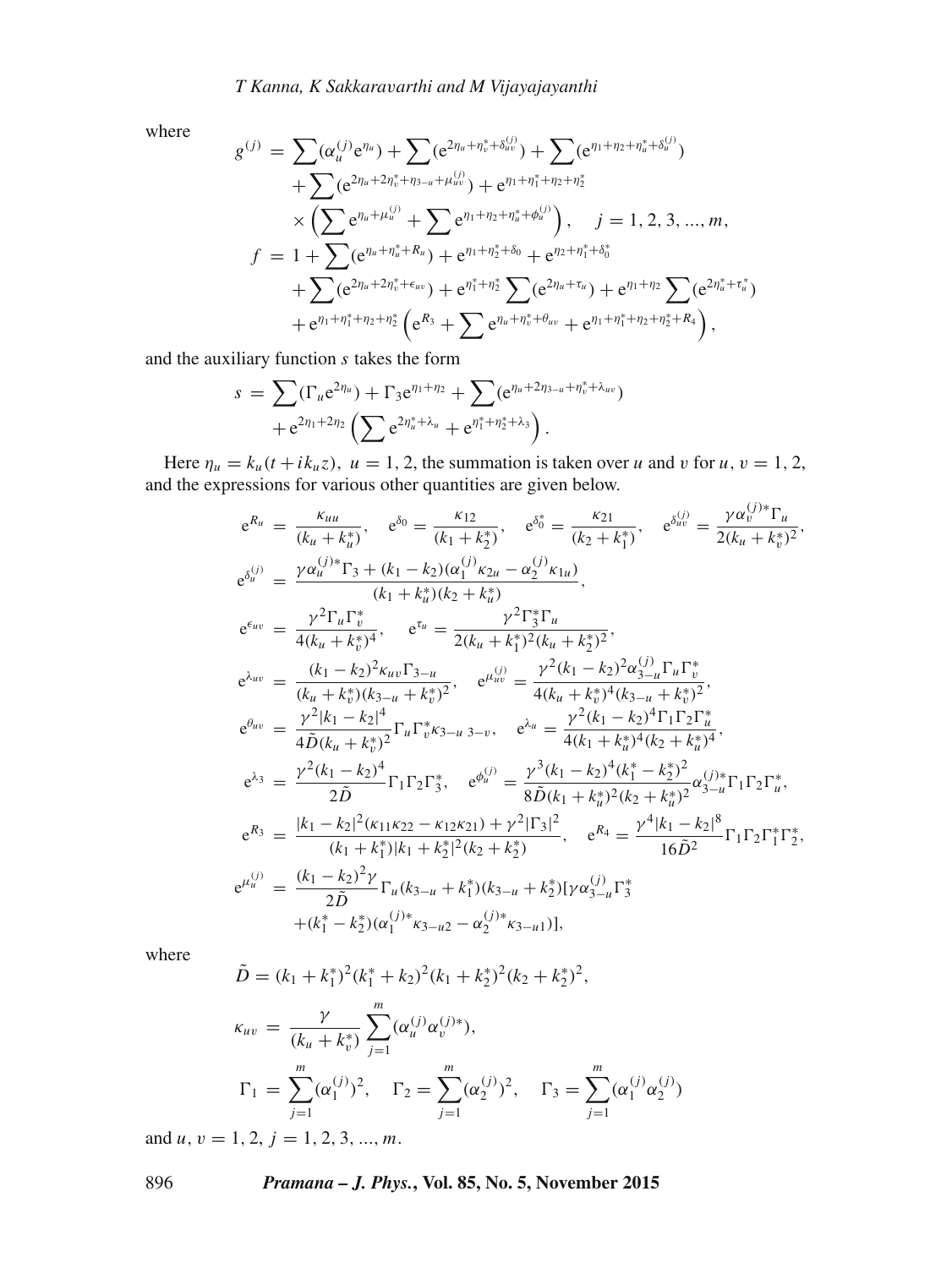where

$$
g^{(j)} = \sum (\alpha_u^{(j)} e^{\eta_u}) + \sum (e^{2\eta_u + \eta_v^* + \delta_{uv}^{(j)}}) + \sum (e^{\eta_1 + \eta_2 + \eta_u^* + \delta_{uv}^{(j)}})
$$
  
+ 
$$
\sum (e^{2\eta_u + 2\eta_v^* + \eta_{3-u} + \mu_{uv}^{(j)}}) + e^{\eta_1 + \eta_1^* + \eta_2 + \eta_2^*}
$$
  

$$
\times (\sum e^{\eta_u + \mu_u^{(j)}} + \sum e^{\eta_1 + \eta_2 + \eta_u^* + \phi_u^{(j)}}), \quad j = 1, 2, 3, ..., m,
$$
  

$$
f = 1 + \sum (e^{\eta_u + \eta_u^* + R_u}) + e^{\eta_1 + \eta_2^* + \delta_0} + e^{\eta_2 + \eta_1^* + \delta_0^*}
$$
  
+ 
$$
\sum (e^{2\eta_u + 2\eta_v^* + \epsilon_{uv}}) + e^{\eta_1^* + \eta_2^*} \sum (e^{2\eta_u + \tau_u}) + e^{\eta_1 + \eta_2} \sum (e^{2\eta_u^* + \tau_u^*})
$$
  
+ 
$$
e^{\eta_1 + \eta_1^* + \eta_2 + \eta_2^*} (e^{R_3} + \sum e^{\eta_u + \eta_v^* + \theta_{uv}} + e^{\eta_1 + \eta_1^* + \eta_2 + \eta_2^* + R_4}),
$$

and the auxiliary function  $s$  takes the form

$$
s = \sum (\Gamma_u e^{2\eta_u}) + \Gamma_3 e^{\eta_1 + \eta_2} + \sum (e^{\eta_u + 2\eta_{3-u} + \eta_v^* + \lambda_{uv}}) + e^{2\eta_1 + 2\eta_2} \left( \sum e^{2\eta_u^* + \lambda_u} + e^{\eta_1^* + \eta_2^* + \lambda_3} \right).
$$

Here  $\eta_u = k_u(t + i k_u z)$ ,  $u = 1, 2$ , the summation is taken over u and v for u,  $v = 1, 2$ , and the expressions for various other quantities are given below.

$$
e^{R_{u}} = \frac{\kappa_{uu}}{(k_{u} + k_{u}^{*})}, \quad e^{\delta_{0}} = \frac{\kappa_{12}}{(k_{1} + k_{2}^{*})}, \quad e^{\delta_{0}^{*}} = \frac{\kappa_{21}}{(k_{2} + k_{1}^{*})}, \quad e^{\delta_{uv}^{(j)}} = \frac{\gamma \alpha_{v}^{(j)*} \Gamma_{u}}{2(k_{u} + k_{v}^{*})^{2}},
$$
  
\n
$$
e^{\delta_{u}^{(j)}} = \frac{\gamma \alpha_{u}^{(j)*} \Gamma_{3} + (k_{1} - k_{2})(\alpha_{1}^{(j)} \kappa_{2u} - \alpha_{2}^{(j)} \kappa_{1u})}{(k_{1} + k_{u}^{*})(k_{2} + k_{u}^{*})},
$$
  
\n
$$
e^{\epsilon_{uv}} = \frac{\gamma^{2} \Gamma_{u} \Gamma_{v}^{*}}{4(k_{u} + k_{v}^{*})^{4}}, \quad e^{\tau_{u}} = \frac{\gamma^{2} \Gamma_{3}^{*} \Gamma_{u}}{2(k_{u} + k_{1}^{*})^{2}(k_{u} + k_{2}^{*})^{2}},
$$
  
\n
$$
e^{\lambda_{uv}} = \frac{(k_{1} - k_{2})^{2} \kappa_{uv} \Gamma_{3-u}}{(k_{u} + k_{v}^{*})(k_{3-u} + k_{v}^{*})^{2}}, \quad e^{\mu_{uv}^{(j)}} = \frac{\gamma^{2} (k_{1} - k_{2})^{2} \alpha_{3-u}^{(j)} \Gamma_{u} \Gamma_{v}^{*}}{4(k_{u} + k_{v}^{*})^{4}(k_{3-u} + k_{v}^{*})^{2}},
$$
  
\n
$$
e^{\theta_{uv}} = \frac{\gamma^{2} |k_{1} - k_{2}|^{4}}{4 \tilde{D}(k_{u} + k_{v}^{*})^{2}} \Gamma_{u} \Gamma_{v}^{*} \kappa_{3-u} \Gamma_{3-v}, \quad e^{\lambda_{u}} = \frac{\gamma^{2} (k_{1} - k_{2})^{4} \Gamma_{1} \Gamma_{2} \Gamma_{u}^{*}}{4(k_{1} + k_{u}^{*})^{4}(k_{2} + k_{u}^{*})^{4}},
$$
  
\n
$$
e^{\lambda_{3}} = \frac{\gamma^{2} (k_{1} - k_{2})^{4}}{2 \
$$

where

$$
\tilde{D} = (k_1 + k_1^*)^2 (k_1^* + k_2)^2 (k_1 + k_2^*)^2 (k_2 + k_2^*)^2,
$$
\n
$$
\kappa_{uv} = \frac{\gamma}{(k_u + k_v^*)} \sum_{j=1}^m (\alpha_u^{(j)} \alpha_v^{(j)*}),
$$
\n
$$
\Gamma_1 = \sum_{j=1}^m (\alpha_1^{(j)})^2, \quad \Gamma_2 = \sum_{j=1}^m (\alpha_2^{(j)})^2, \quad \Gamma_3 = \sum_{j=1}^m (\alpha_1^{(j)} \alpha_2^{(j)})
$$
\n1.2.3.2.2.

and  $u, v = 1, 2, j = 1, 2, 3, ..., m$ .